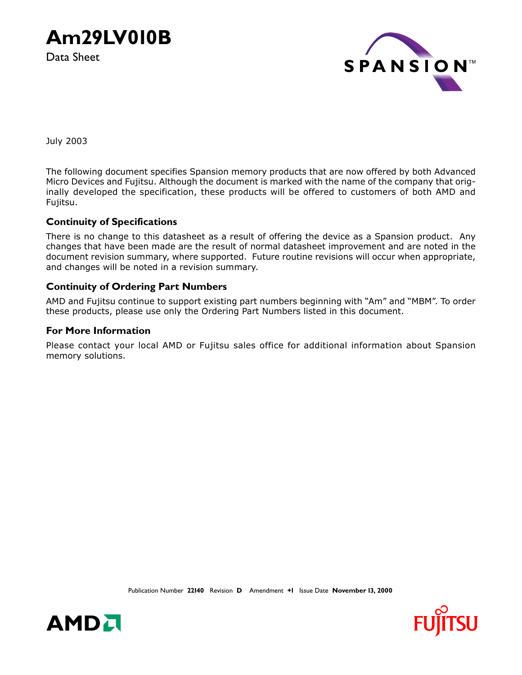**Am29LV010B**

Data Sheet



July 2003

The following document specifies Spansion memory products that are now offered by both Advanced Micro Devices and Fujitsu. Although the document is marked with the name of the company that originally developed the specification, these products will be offered to customers of both AMD and Fujitsu.

### **Continuity of Specifications**

There is no change to this datasheet as a result of offering the device as a Spansion product. Any changes that have been made are the result of normal datasheet improvement and are noted in the document revision summary, where supported. Future routine revisions will occur when appropriate, and changes will be noted in a revision summary.

### **Continuity of Ordering Part Numbers**

AMD and Fujitsu continue to support existing part numbers beginning with "Am" and "MBM". To order these products, please use only the Ordering Part Numbers listed in this document.

### **For More Information**

Please contact your local AMD or Fujitsu sales office for additional information about Spansion memory solutions.



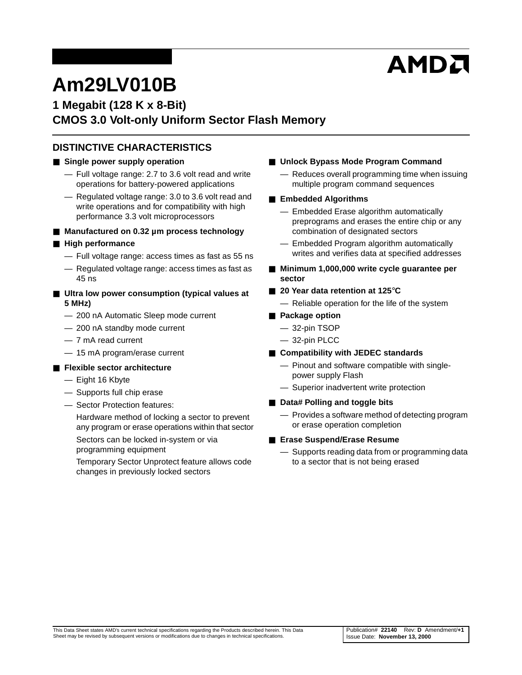# AMDA

# **Am29LV010B**

# **1 Megabit (128 K x 8-Bit) CMOS 3.0 Volt-only Uniform Sector Flash Memory**

# **DISTINCTIVE CHARACTERISTICS**

### ■ Single power supply operation

- Full voltage range: 2.7 to 3.6 volt read and write operations for battery-powered applications
- Regulated voltage range: 3.0 to 3.6 volt read and write operations and for compatibility with high performance 3.3 volt microprocessors

#### ■ Manufactured on 0.32 µm process technology

#### ■ **High performance**

- Full voltage range: access times as fast as 55 ns
- Regulated voltage range: access times as fast as 45 ns
- Ultra low power consumption (typical values at **5 MHz)**
	- 200 nA Automatic Sleep mode current
	- 200 nA standby mode current
	- 7 mA read current
	- 15 mA program/erase current

#### ■ **Flexible sector architecture**

- Eight 16 Kbyte
- Supports full chip erase
- Sector Protection features:

Hardware method of locking a sector to prevent any program or erase operations within that sector

Sectors can be locked in-system or via programming equipment

Temporary Sector Unprotect feature allows code changes in previously locked sectors

- **Unlock Bypass Mode Program Command** 
	- Reduces overall programming time when issuing multiple program command sequences

#### ■ **Embedded Algorithms**

- Embedded Erase algorithm automatically preprograms and erases the entire chip or any combination of designated sectors
- Embedded Program algorithm automatically writes and verifies data at specified addresses
- **Minimum 1,000,000 write cycle guarantee per sector**
- **20 Year data retention at 125**°**C**
	- Reliable operation for the life of the system
- **Package option** 
	- 32-pin TSOP
	- 32-pin PLCC
- **Compatibility with JEDEC standards** 
	- Pinout and software compatible with singlepower supply Flash
	- Superior inadvertent write protection
- **Data# Polling and toggle bits** 
	- Provides a software method of detecting program or erase operation completion
- **Erase Suspend/Erase Resume** 
	- Supports reading data from or programming data to a sector that is not being erased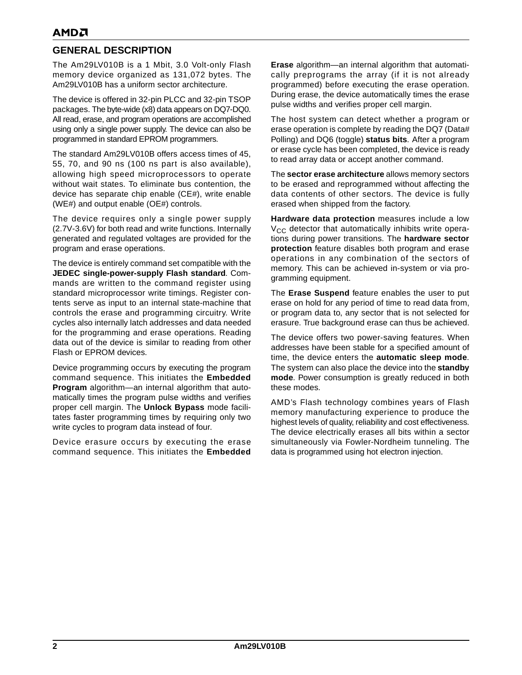# **GENERAL DESCRIPTION**

The Am29LV010B is a 1 Mbit, 3.0 Volt-only Flash memory device organized as 131,072 bytes. The Am29LV010B has a uniform sector architecture.

The device is offered in 32-pin PLCC and 32-pin TSOP packages. The byte-wide (x8) data appears on DQ7-DQ0. All read, erase, and program operations are accomplished using only a single power supply. The device can also be programmed in standard EPROM programmers.

The standard Am29LV010B offers access times of 45, 55, 70, and 90 ns (100 ns part is also available), allowing high speed microprocessors to operate without wait states. To eliminate bus contention, the device has separate chip enable (CE#), write enable (WE#) and output enable (OE#) controls.

The device requires only a single power supply (2.7V-3.6V) for both read and write functions. Internally generated and regulated voltages are provided for the program and erase operations.

The device is entirely command set compatible with the **JEDEC single-power-supply Flash standard**. Commands are written to the command register using standard microprocessor write timings. Register contents serve as input to an internal state-machine that controls the erase and programming circuitry. Write cycles also internally latch addresses and data needed for the programming and erase operations. Reading data out of the device is similar to reading from other Flash or EPROM devices.

Device programming occurs by executing the program command sequence. This initiates the **Embedded Program** algorithm—an internal algorithm that automatically times the program pulse widths and verifies proper cell margin. The **Unlock Bypass** mode facilitates faster programming times by requiring only two write cycles to program data instead of four.

Device erasure occurs by executing the erase command sequence. This initiates the **Embedded** **Erase** algorithm—an internal algorithm that automatically preprograms the array (if it is not already programmed) before executing the erase operation. During erase, the device automatically times the erase pulse widths and verifies proper cell margin.

The host system can detect whether a program or erase operation is complete by reading the DQ7 (Data# Polling) and DQ6 (toggle) **status bits**. After a program or erase cycle has been completed, the device is ready to read array data or accept another command.

The **sector erase architecture** allows memory sectors to be erased and reprogrammed without affecting the data contents of other sectors. The device is fully erased when shipped from the factory.

**Hardware data protection** measures include a low  $V_{CC}$  detector that automatically inhibits write operations during power transitions. The **hardware sector protection** feature disables both program and erase operations in any combination of the sectors of memory. This can be achieved in-system or via programming equipment.

The **Erase Suspend** feature enables the user to put erase on hold for any period of time to read data from, or program data to, any sector that is not selected for erasure. True background erase can thus be achieved.

The device offers two power-saving features. When addresses have been stable for a specified amount of time, the device enters the **automatic sleep mode**. The system can also place the device into the **standby mode**. Power consumption is greatly reduced in both these modes.

AMD's Flash technology combines years of Flash memory manufacturing experience to produce the highest levels of quality, reliability and cost effectiveness. The device electrically erases all bits within a sector simultaneously via Fowler-Nordheim tunneling. The data is programmed using hot electron injection.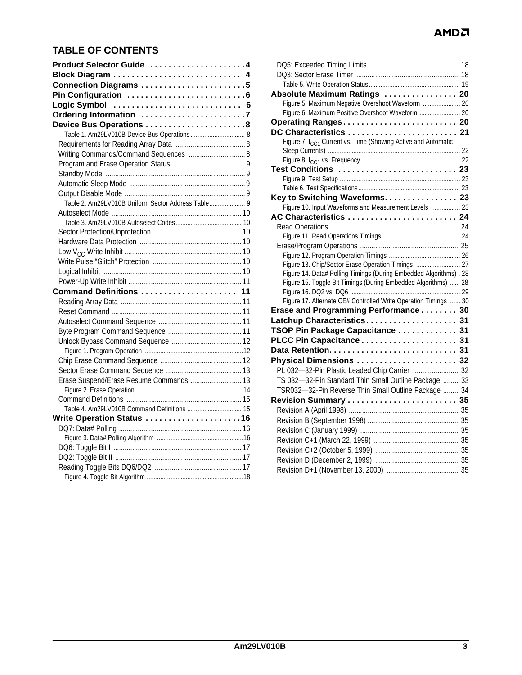# **AMDA**

# **TABLE OF CONTENTS**

| Product Selector Guide 4                           |
|----------------------------------------------------|
| Block Diagram  4                                   |
| Connection Diagrams 5                              |
|                                                    |
|                                                    |
| Ordering Information 7                             |
| Device Bus Operations 8                            |
| Table 1. Am29LV010B Device Bus Operations  8       |
|                                                    |
| Writing Commands/Command Sequences  8              |
|                                                    |
|                                                    |
|                                                    |
|                                                    |
| Table 2. Am29LV010B Uniform Sector Address Table 9 |
|                                                    |
|                                                    |
|                                                    |
|                                                    |
|                                                    |
|                                                    |
|                                                    |
|                                                    |
| Command Definitions                                |
|                                                    |
|                                                    |
|                                                    |
|                                                    |
|                                                    |
|                                                    |
|                                                    |
|                                                    |
| Erase Suspend/Erase Resume Commands  13            |
|                                                    |
| Table 4. Am29LV010B Command Definitions  15        |
| Write Operation Status 16                          |
|                                                    |
|                                                    |
|                                                    |
|                                                    |
|                                                    |
|                                                    |

| Absolute Maximum Ratings  20                                              |  |
|---------------------------------------------------------------------------|--|
| Figure 5. Maximum Negative Overshoot Waveform  20                         |  |
| Figure 6. Maximum Positive Overshoot Waveform  20                         |  |
| Operating Ranges 20                                                       |  |
| DC Characteristics  21                                                    |  |
| Figure 7. I <sub>CC1</sub> Current vs. Time (Showing Active and Automatic |  |
|                                                                           |  |
|                                                                           |  |
| Test Conditions  23                                                       |  |
|                                                                           |  |
|                                                                           |  |
| Key to Switching Waveforms. 23                                            |  |
| Figure 10. Input Waveforms and Measurement Levels  23                     |  |
| AC Characteristics  24                                                    |  |
|                                                                           |  |
|                                                                           |  |
|                                                                           |  |
|                                                                           |  |
| Figure 13. Chip/Sector Erase Operation Timings  27                        |  |
| Figure 14. Data# Polling Timings (During Embedded Algorithms) . 28        |  |
| Figure 15. Toggle Bit Timings (During Embedded Algorithms)  28            |  |
|                                                                           |  |
| Figure 17. Alternate CE# Controlled Write Operation Timings  30           |  |
| Erase and Programming Performance 30                                      |  |
| Latchup Characteristics 31                                                |  |
| TSOP Pin Package Capacitance  31                                          |  |
| PLCC Pin Capacitance 31                                                   |  |
|                                                                           |  |
| Physical Dimensions  32                                                   |  |
| PL 032-32-Pin Plastic Leaded Chip Carrier  32                             |  |
| TS 032-32-Pin Standard Thin Small Outline Package  33                     |  |
| TSR032-32-Pin Reverse Thin Small Outline Package  34                      |  |
| Revision Summary  35                                                      |  |
|                                                                           |  |
|                                                                           |  |
|                                                                           |  |
|                                                                           |  |
|                                                                           |  |
|                                                                           |  |
|                                                                           |  |
|                                                                           |  |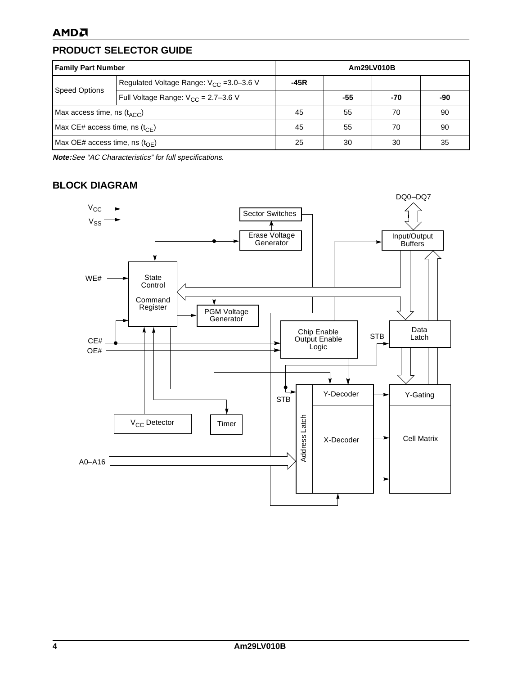# <span id="page-4-0"></span>**PRODUCT SELECTOR GUIDE**

| <b>Family Part Number</b>                             |                                                      |                | Am29LV010B |     |     |
|-------------------------------------------------------|------------------------------------------------------|----------------|------------|-----|-----|
| <b>Speed Options</b>                                  | Regulated Voltage Range: V <sub>CC</sub> = 3.0-3.6 V | -45R           |            |     |     |
|                                                       | Full Voltage Range: $V_{CC} = 2.7 - 3.6$ V           |                | $-55$      | -70 | -90 |
| Max access time, ns $(t_{\text{ACC}})$                |                                                      | 70<br>45<br>55 |            |     | 90  |
| Max CE# access time, ns $(t_{\text{CE}})$             |                                                      | 70<br>45<br>55 |            | 90  |     |
| Max OE# access time, ns $(t_{\text{OF}})$<br>30<br>25 |                                                      |                | 30         | 35  |     |

**Note:**See "AC Characteristics" for full specifications.

# <span id="page-4-1"></span>**BLOCK DIAGRAM**

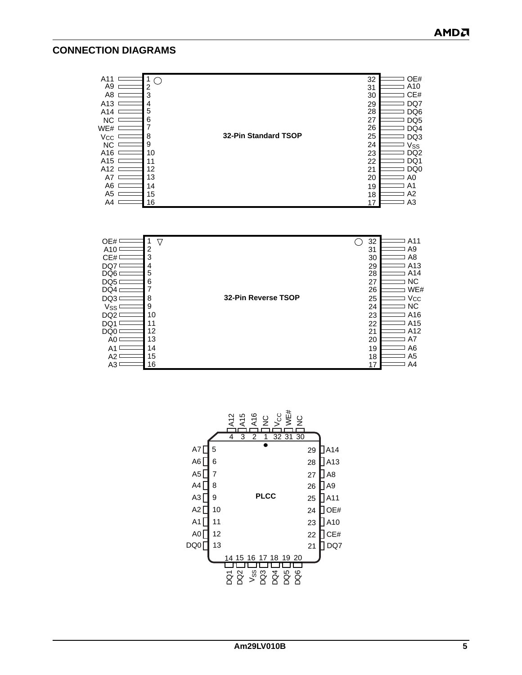### <span id="page-5-0"></span>**CONNECTION DIAGRAMS**

| A11                   |    |                             | 32 | OE#             |
|-----------------------|----|-----------------------------|----|-----------------|
| A9                    | 2  |                             | 31 | A10             |
| A8                    | 3  |                             | 30 | CE#             |
| A13                   | 4  |                             | 29 | DQ7             |
| A14                   | 5  |                             | 28 | DQ <sub>6</sub> |
| <b>NC</b>             | 6  |                             | 27 | DQ <sub>5</sub> |
| WE#                   |    |                             | 26 | DQ4             |
| <b>V<sub>CC</sub></b> | 8  | <b>32-Pin Standard TSOP</b> | 25 | DQ3             |
| <b>NC</b>             | 9  |                             | 24 | $V_{\rm SS}$    |
| A16                   | 10 |                             | 23 | DQ <sub>2</sub> |
| A <sub>15</sub>       | 11 |                             | 22 | DQ1             |
| A12                   | 12 |                             | 21 | DQ <sub>0</sub> |
| A7                    | 13 |                             | 20 | A0              |
| A6                    | 14 |                             | 19 | A1              |
| A5                    | 15 |                             | 18 | A2              |
| A4                    | 16 |                             | 17 | A <sub>3</sub>  |
|                       |    |                             |    |                 |



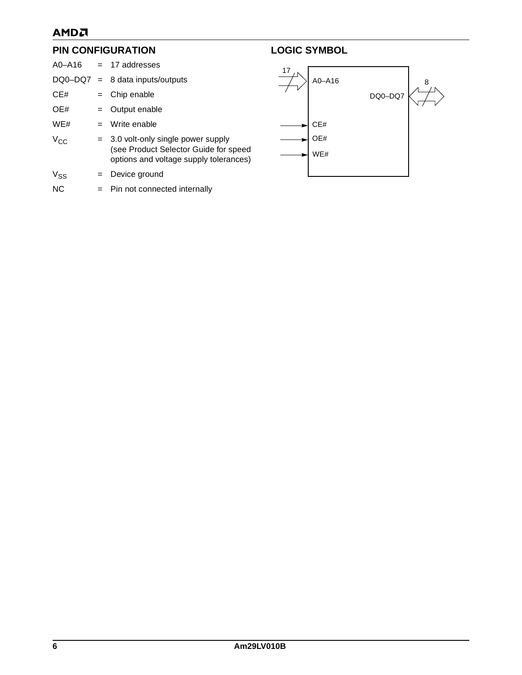# AMDA

### <span id="page-6-0"></span>**PIN CONFIGURATION**

|                 |         | $AO- A16 = 17$ addresses                                                                                                 |
|-----------------|---------|--------------------------------------------------------------------------------------------------------------------------|
|                 |         | $DQ0-DQ7 = 8$ data inputs/outputs                                                                                        |
| CE#             |         | $=$ Chip enable                                                                                                          |
| OE#             |         | $=$ Output enable                                                                                                        |
| WE#             |         | $=$ Write enable                                                                                                         |
| V <sub>CC</sub> |         | $=$ 3.0 volt-only single power supply<br>(see Product Selector Guide for speed<br>options and voltage supply tolerances) |
| $V_{SS}$        | $=$ $-$ | Device ground                                                                                                            |
| <b>NC</b>       |         | = Pin not connected internally                                                                                           |

# <span id="page-6-1"></span>**LOGIC SYMBOL**

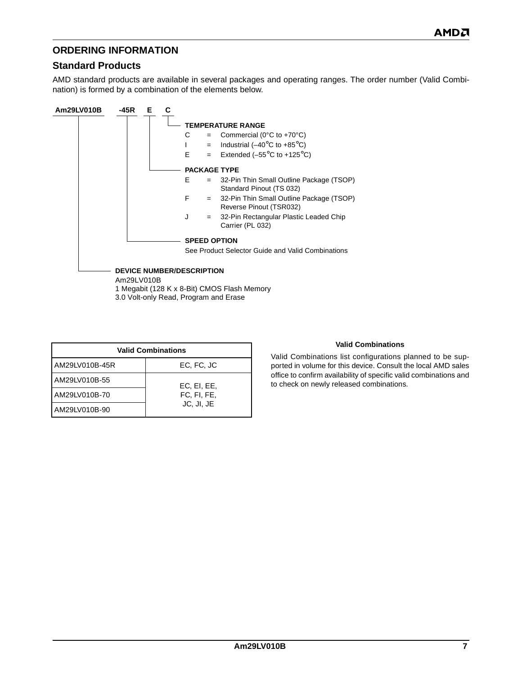# <span id="page-7-0"></span>**ORDERING INFORMATION**

### **Standard Products**

AMD standard products are available in several packages and operating ranges. The order number (Valid Combination) is formed by a combination of the elements below.

| Am29LV010B<br>-45R<br>Е                        |    |                     |                                                                      |
|------------------------------------------------|----|---------------------|----------------------------------------------------------------------|
|                                                |    |                     | <b>TEMPERATURE RANGE</b>                                             |
|                                                | C  | $=$                 | Commercial ( $0^{\circ}$ C to +70 $^{\circ}$ C)                      |
|                                                |    | $=$                 | Industrial ( $-40^{\circ}$ C to +85 $^{\circ}$ C)                    |
|                                                | F. | $=$                 | Extended $(-55^{\circ}C$ to $+125^{\circ}C)$                         |
|                                                |    | <b>PACKAGE TYPE</b> |                                                                      |
|                                                | Е  | $=$                 | 32-Pin Thin Small Outline Package (TSOP)<br>Standard Pinout (TS 032) |
|                                                | F  | $=$                 | 32-Pin Thin Small Outline Package (TSOP)<br>Reverse Pinout (TSR032)  |
|                                                | J  | $=$                 | 32-Pin Rectangular Plastic Leaded Chip<br>Carrier (PL 032)           |
|                                                |    | <b>SPEED OPTION</b> |                                                                      |
|                                                |    |                     | See Product Selector Guide and Valid Combinations                    |
| <b>DEVICE NUMBER/DESCRIPTION</b><br>Am29LV010B |    |                     |                                                                      |
| 1 Megabit (128 K x 8-Bit) CMOS Flash Memory    |    |                     |                                                                      |
| 3.0 Volt-only Read, Program and Erase          |    |                     |                                                                      |

| <b>Valid Combinations</b> |             |  |  |  |  |  |  |  |  |
|---------------------------|-------------|--|--|--|--|--|--|--|--|
| AM29LV010B-45R            | EC, FC, JC  |  |  |  |  |  |  |  |  |
| AM29LV010B-55             | EC, EI, EE, |  |  |  |  |  |  |  |  |
| AM29LV010B-70             | FC, FI, FE, |  |  |  |  |  |  |  |  |
| AM29LV010B-90             | JC, JI, JE  |  |  |  |  |  |  |  |  |

#### **Valid Combinations**

Valid Combinations list configurations planned to be supported in volume for this device. Consult the local AMD sales office to confirm availability of specific valid combinations and to check on newly released combinations.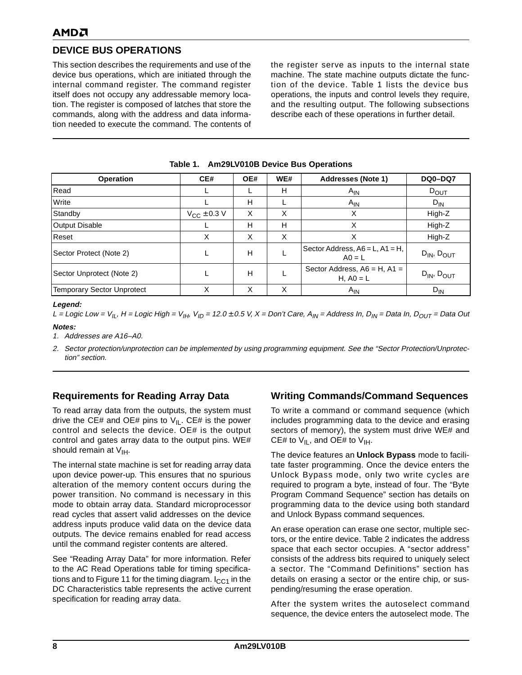# <span id="page-8-0"></span>**DEVICE BUS OPERATIONS**

This section describes the requirements and use of the device bus operations, which are initiated through the internal command register. The command register itself does not occupy any addressable memory location. The register is composed of latches that store the commands, along with the address and data information needed to execute the command. The contents of the register serve as inputs to the internal state machine. The state machine outputs dictate the function of the device. [Table 1](#page-8-1) lists the device bus operations, the inputs and control levels they require, and the resulting output. The following subsections describe each of these operations in further detail.

<span id="page-8-1"></span>

| <b>Operation</b>           | CE#                | OE# | WE# | <b>Addresses (Note 1)</b>                         | <b>DQ0-DQ7</b>       |
|----------------------------|--------------------|-----|-----|---------------------------------------------------|----------------------|
| Read                       |                    |     | Н   | $A_{IN}$                                          | $D_{OUT}$            |
| Write                      |                    | Н   |     | $A_{IN}$                                          | $D_{IN}$             |
| Standby                    | $V_{CC} \pm 0.3$ V | X   | X   | X                                                 | High-Z               |
| <b>Output Disable</b>      |                    | H   | н   | X                                                 | High-Z               |
| Reset                      | X                  | X   | Χ   | Χ                                                 | High-Z               |
| Sector Protect (Note 2)    |                    | Н   |     | Sector Address, $A6 = L$ , $A1 = H$ ,<br>$AO = L$ | $D_{IN}$ , $D_{OUT}$ |
| Sector Unprotect (Note 2)  |                    | Н   | L   | Sector Address, $A6 = H$ , $A1 =$<br>H, $AO = L$  | $D_{IN}$ , $D_{OUT}$ |
| Temporary Sector Unprotect | Χ                  | X   | X   | $A_{IN}$                                          | $D_{IN}$             |

#### **Table 1. Am29LV010B Device Bus Operations**

#### **Legend:**

L = Logic Low =  $V_{IL}$ , H = Logic High =  $V_{IH}$ ,  $V_{ID}$  = 12.0 ± 0.5 V, X = Don't Care,  $A_{IN}$  = Address In, D<sub>IN</sub> = Data In, D<sub>OUT</sub> = Data Out **Notes:**

<span id="page-8-4"></span>1. Addresses are A16–A0.

<span id="page-8-5"></span>2. Sector protection/unprotection can be implemented by using programming equipment. See the "Sector Protection/Unprotection" section.

### <span id="page-8-2"></span>**Requirements for Reading Array Data**

To read array data from the outputs, the system must drive the CE# and OE# pins to  $V_{II}$ . CE# is the power control and selects the device. OE# is the output control and gates array data to the output pins. WE# should remain at  $V_{\text{IH}}$ .

The internal state machine is set for reading array data upon device power-up. This ensures that no spurious alteration of the memory content occurs during the power transition. No command is necessary in this mode to obtain array data. Standard microprocessor read cycles that assert valid addresses on the device address inputs produce valid data on the device data outputs. The device remains enabled for read access until the command register contents are altered.

See ["Reading Array Data"](#page-11-2) for more information. Refer to the AC [Read Operations](#page-24-1) table for timing specifica-tions and to [Figure 11](#page-24-2) for the timing diagram.  $I_{CC1}$  in the DC Characteristics table represents the active current specification for reading array data.

### <span id="page-8-3"></span>**Writing Commands/Command Sequences**

To write a command or command sequence (which includes programming data to the device and erasing sectors of memory), the system must drive WE# and CE# to  $V_{II}$ , and OE# to  $V_{IH}$ .

The device features an **Unlock Bypass** mode to facilitate faster programming. Once the device enters the Unlock Bypass mode, only two write cycles are required to program a byte, instead of four. The ["Byte](#page-11-5) [Program Command Sequence"](#page-11-5) section has details on programming data to the device using both standard and Unlock Bypass command sequences.

An erase operation can erase one sector, multiple sectors, or the entire device. Table [2](#page-9-4) indicates the address space that each sector occupies. A "sector address" consists of the address bits required to uniquely select a sector. The ["Command Definitions"](#page-11-1) section has details on erasing a sector or the entire chip, or suspending/resuming the erase operation.

After the system writes the autoselect command sequence, the device enters the autoselect mode. The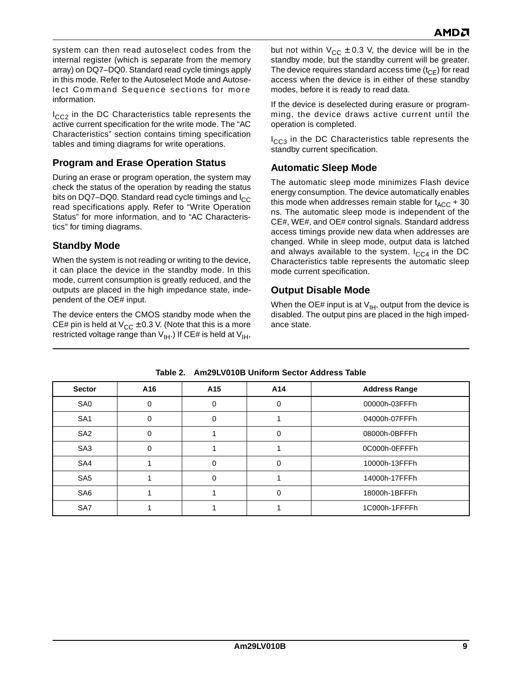system can then read autoselect codes from the internal register (which is separate from the memory array) on DQ7–DQ0. Standard read cycle timings apply in this mode. Refer to the Autoselect Mode and [Autose](#page-11-4)[lect Command Sequence](#page-11-4) sections for more information.

 $I_{CC2}$  in the DC Characteristics table represents the active current specification for the write mode. The ["AC](#page-24-0) [Characteristics"](#page-24-0) section contains timing specification tables and timing diagrams for write operations.

# <span id="page-9-0"></span>**Program and Erase Operation Status**

During an erase or program operation, the system may check the status of the operation by reading the status bits on DQ7–DQ0. Standard read cycle timings and  $I_{CC}$ read specifications apply. Refer to ["Write Operation](#page-16-0) [Status"](#page-16-0) for more information, and to ["AC Characteris](#page-24-0)[tics"](#page-24-0) for timing diagrams.

# <span id="page-9-1"></span>**Standby Mode**

When the system is not reading or writing to the device, it can place the device in the standby mode. In this mode, current consumption is greatly reduced, and the outputs are placed in the high impedance state, independent of the OE# input.

The device enters the CMOS standby mode when the CE# pin is held at  $V_{CC}$  ± 0.3 V. (Note that this is a more restricted voltage range than  $V_{I}H$ .) If CE# is held at  $V_{I}H$ ,

but not within  $V_{CC}$  ± 0.3 V, the device will be in the standby mode, but the standby current will be greater. The device requires standard access time  $(t_{CF})$  for read access when the device is in either of these standby modes, before it is ready to read data.

If the device is deselected during erasure or programming, the device draws active current until the operation is completed.

I<sub>CC3</sub> in the [DC Characteristics](#page-21-0) table represents the standby current specification.

# <span id="page-9-2"></span>**Automatic Sleep Mode**

The automatic sleep mode minimizes Flash device energy consumption. The device automatically enables this mode when addresses remain stable for  $t_{\text{ACC}}$  + 30 ns. The automatic sleep mode is independent of the CE#, WE#, and OE# control signals. Standard address access timings provide new data when addresses are changed. While in sleep mode, output data is latched and always available to the system.  $I_{CC4}$  in the [DC](#page-21-0) [Characteristics](#page-21-0) table represents the automatic sleep mode current specification.

# <span id="page-9-3"></span>**Output Disable Mode**

When the OE# input is at  $V_{IH}$ , output from the device is disabled. The output pins are placed in the high impedance state.

<span id="page-9-4"></span>

| <b>Sector</b>   | A16      | A <sub>15</sub> | A14      | <b>Address Range</b> |  |  |  |  |  |  |  |  |
|-----------------|----------|-----------------|----------|----------------------|--|--|--|--|--|--|--|--|
| SA <sub>0</sub> | 0        | 0               | 0        | 00000h-03FFFh        |  |  |  |  |  |  |  |  |
| SA <sub>1</sub> | $\Omega$ | 0               |          | 04000h-07FFFh        |  |  |  |  |  |  |  |  |
| SA <sub>2</sub> | 0        |                 | $\Omega$ | 08000h-0BFFFh        |  |  |  |  |  |  |  |  |
| SA <sub>3</sub> | 0        |                 |          | 0C000h-0FFFFh        |  |  |  |  |  |  |  |  |
| SA4             |          | 0               | $\Omega$ | 10000h-13FFFh        |  |  |  |  |  |  |  |  |
| SA <sub>5</sub> |          | 0               |          | 14000h-17FFFh        |  |  |  |  |  |  |  |  |
| SA <sub>6</sub> |          |                 | $\Omega$ | 18000h-1BFFFh        |  |  |  |  |  |  |  |  |
| SA7             |          |                 |          | 1C000h-1FFFFh        |  |  |  |  |  |  |  |  |

**Table 2. Am29LV010B Uniform Sector Address Table**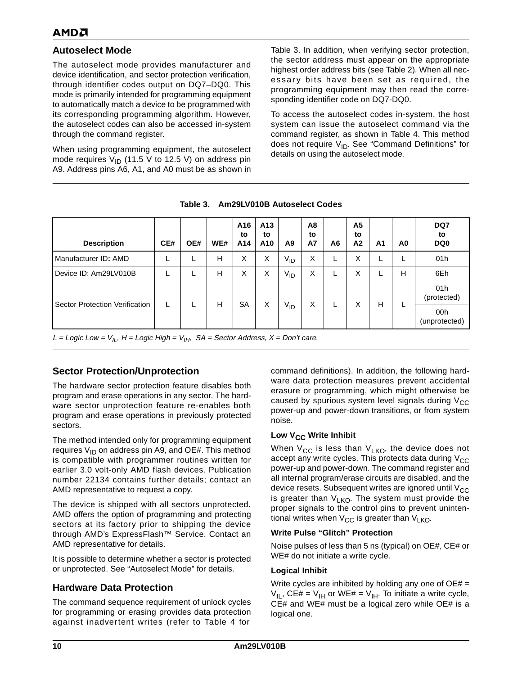### <span id="page-10-0"></span>**Autoselect Mode**

The autoselect mode provides manufacturer and device identification, and sector protection verification, through identifier codes output on DQ7–DQ0. This mode is primarily intended for programming equipment to automatically match a device to be programmed with its corresponding programming algorithm. However, the autoselect codes can also be accessed in-system through the command register.

When using programming equipment, the autoselect mode requires  $V_{ID}$  (11.5 V to 12.5 V) on address pin A9. Address pins A6, A1, and A0 must be as shown in [Table 3](#page-10-1). In addition, when verifying sector protection, the sector address must appear on the appropriate highest order address bits (see Table [2](#page-9-4)). When all necessary bits have been set as required, the programming equipment may then read the corresponding identifier code on DQ7-DQ0.

To access the autoselect codes in-system, the host system can issue the autoselect command via the command register, as shown in [Table 4](#page-15-1). This method does not require  $V_{ID}$ . See ["Command Definitions"](#page-11-1) for details on using the autoselect mode.

<span id="page-10-1"></span>

| <b>Description</b>                    | CE# | OE# | WE# | A16<br>to<br>A14 | A13<br>to<br>A <sub>10</sub> | A <sub>9</sub>  | A8<br>to<br>A7 | A <sub>6</sub> | A <sub>5</sub><br>to<br>A <sub>2</sub> | A <sub>1</sub> | A0 | DQ7<br>to<br>DQ <sub>0</sub> |
|---------------------------------------|-----|-----|-----|------------------|------------------------------|-----------------|----------------|----------------|----------------------------------------|----------------|----|------------------------------|
| Manufacturer ID: AMD                  | ш   |     | Н   | X                | X                            | $V_{ID}$        | Χ              |                | X                                      | L              | L  | 01h                          |
| Device ID: Am29LV010B                 | ш   |     | Н   | X                | X                            | $V_{ID}$        | Χ              |                | X                                      | L              | н  | 6Eh                          |
|                                       | L   |     | H   | <b>SA</b>        | X                            | V <sub>ID</sub> | X              | L              | X                                      | Н              | L  | 01h<br>(protected)           |
| <b>Sector Protection Verification</b> |     |     |     |                  |                              |                 |                |                |                                        |                |    | 00h<br>(unprotected)         |

**Table 3. Am29LV010B Autoselect Codes**

L = Logic Low =  $V_{\parallel L}$ , H = Logic High =  $V_{\parallel H}$ , SA = Sector Address, X = Don't care.

### <span id="page-10-2"></span>**Sector Protection/Unprotection**

The hardware sector protection feature disables both program and erase operations in any sector. The hardware sector unprotection feature re-enables both program and erase operations in previously protected sectors.

The method intended only for programming equipment requires  $V_{1D}$  on address pin A9, and OE#. This method is compatible with programmer routines written for earlier 3.0 volt-only AMD flash devices. Publication number 22134 contains further details; contact an AMD representative to request a copy.

The device is shipped with all sectors unprotected. AMD offers the option of programming and protecting sectors at its factory prior to shipping the device through AMD's ExpressFlash™ Service. Contact an AMD representative for details.

It is possible to determine whether a sector is protected or unprotected. See "Autoselect Mode" for details.

### <span id="page-10-3"></span>**Hardware Data Protection**

The command sequence requirement of unlock cycles for programming or erasing provides data protection against inadvertent writes (refer to [Table 4](#page-15-1) for

command definitions). In addition, the following hardware data protection measures prevent accidental erasure or programming, which might otherwise be caused by spurious system level signals during  $V_{CC}$ power-up and power-down transitions, or from system noise.

### <span id="page-10-4"></span>Low V<sub>CC</sub> Write Inhibit

When  $V_{CC}$  is less than  $V_{LKO}$ , the device does not accept any write cycles. This protects data during  $V_{CC}$ power-up and power-down. The command register and all internal program/erase circuits are disabled, and the device resets. Subsequent writes are ignored until  $V_{CC}$ is greater than  $V_{LKO}$ . The system must provide the proper signals to the control pins to prevent unintentional writes when  $V_{CC}$  is greater than  $V_{LKO}$ .

### <span id="page-10-5"></span>**Write Pulse "Glitch" Protection**

Noise pulses of less than 5 ns (typical) on OE#, CE# or WE# do not initiate a write cycle.

### <span id="page-10-6"></span>**Logical Inhibit**

Write cycles are inhibited by holding any one of  $OE# =$  $V_{IL}$ , CE# =  $V_{IH}$  or WE# =  $V_{IH}$ . To initiate a write cycle, CE# and WE# must be a logical zero while OE# is a logical one.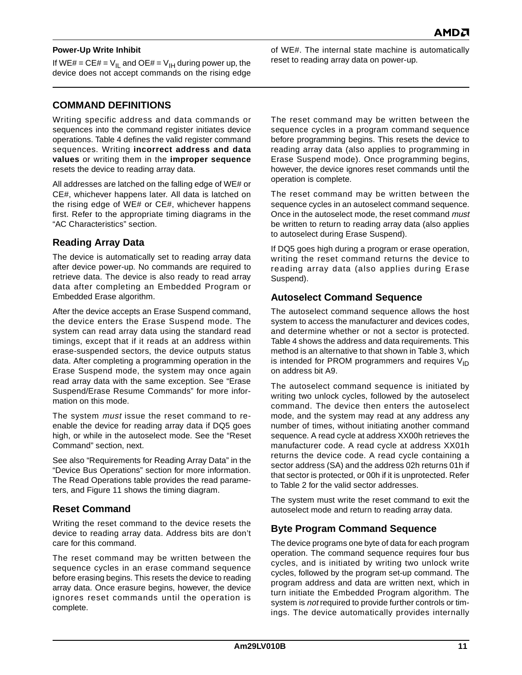#### <span id="page-11-0"></span>**Power-Up Write Inhibit**

If WE# = CE# =  $V_{II}$  and OE# =  $V_{IH}$  during power up, the device does not accept commands on the rising edge

### <span id="page-11-1"></span>**COMMAND DEFINITIONS**

Writing specific address and data commands or sequences into the command register initiates device operations. [Table 4](#page-15-1) defines the valid register command sequences. Writing **incorrect address and data values** or writing them in the **improper sequence** resets the device to reading array data.

All addresses are latched on the falling edge of WE# or CE#, whichever happens later. All data is latched on the rising edge of WE# or CE#, whichever happens first. Refer to the appropriate timing diagrams in the ["AC Characteristics"](#page-24-0) section.

### <span id="page-11-2"></span>**Reading Array Data**

The device is automatically set to reading array data after device power-up. No commands are required to retrieve data. The device is also ready to read array data after completing an Embedded Program or Embedded Erase algorithm.

After the device accepts an Erase Suspend command, the device enters the Erase Suspend mode. The system can read array data using the standard read timings, except that if it reads at an address within erase-suspended sectors, the device outputs status data. After completing a programming operation in the Erase Suspend mode, the system may once again read array data with the same exception. See ["Erase](#page-13-1) [Suspend/Erase Resume Commands"](#page-13-1) for more information on this mode.

The system *must* issue the reset command to reenable the device for reading array data if DQ5 goes high, or while in the autoselect mode. See the ["Reset](#page-11-3) [Command"](#page-11-3) section, next.

See also ["Requirements for Reading Array Data"](#page-8-2) in the ["Device Bus Operations"](#page-8-0) section for more information. The [Read Operations](#page-24-1) table provides the read parameters, and [Figure 11](#page-24-2) shows the timing diagram.

### <span id="page-11-3"></span>**Reset Command**

Writing the reset command to the device resets the device to reading array data. Address bits are don't care for this command.

The reset command may be written between the sequence cycles in an erase command sequence before erasing begins. This resets the device to reading array data. Once erasure begins, however, the device ignores reset commands until the operation is complete.

of WE#. The internal state machine is automatically reset to reading array data on power-up.

The reset command may be written between the sequence cycles in a program command sequence before programming begins. This resets the device to reading array data (also applies to programming in Erase Suspend mode). Once programming begins, however, the device ignores reset commands until the operation is complete.

The reset command may be written between the sequence cycles in an autoselect command sequence. Once in the autoselect mode, the reset command must be written to return to reading array data (also applies to autoselect during Erase Suspend).

If DQ5 goes high during a program or erase operation, writing the reset command returns the device to reading array data (also applies during Erase Suspend).

### <span id="page-11-4"></span>**Autoselect Command Sequence**

The autoselect command sequence allows the host system to access the manufacturer and devices codes, and determine whether or not a sector is protected. [Table 4](#page-15-1) shows the address and data requirements. This method is an alternative to that shown in [Table 3,](#page-10-1) which is intended for PROM programmers and requires  $V_{1D}$ on address bit A9.

The autoselect command sequence is initiated by writing two unlock cycles, followed by the autoselect command. The device then enters the autoselect mode, and the system may read at any address any number of times, without initiating another command sequence. A read cycle at address XX00h retrieves the manufacturer code. A read cycle at address XX01h returns the device code. A read cycle containing a sector address (SA) and the address 02h returns 01h if that sector is protected, or 00h if it is unprotected. Refer to Table [2](#page-9-4) for the valid sector addresses.

The system must write the reset command to exit the autoselect mode and return to reading array data.

### <span id="page-11-5"></span>**Byte Program Command Sequence**

The device programs one byte of data for each program operation. The command sequence requires four bus cycles, and is initiated by writing two unlock write cycles, followed by the program set-up command. The program address and data are written next, which in turn initiate the Embedded Program algorithm. The system is not required to provide further controls or timings. The device automatically provides internally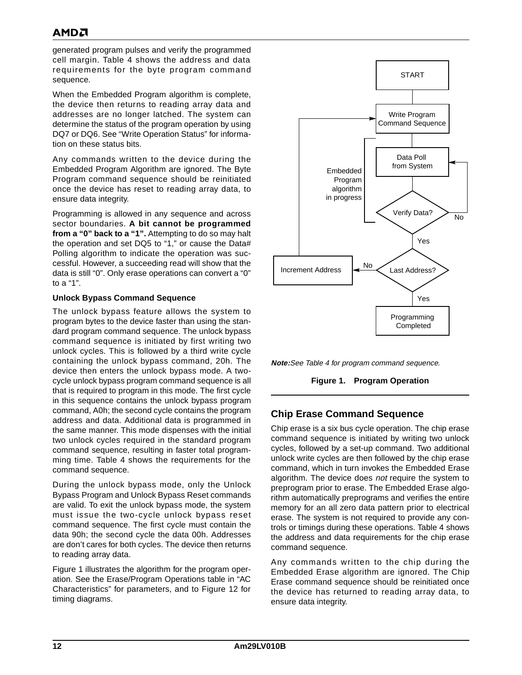generated program pulses and verify the programmed cell margin. [Table 4](#page-15-1) shows the address and data requirements for the byte program command sequence.

When the Embedded Program algorithm is complete, the device then returns to reading array data and addresses are no longer latched. The system can determine the status of the program operation by using DQ7 or DQ6. See ["Write Operation Status"](#page-16-0) for information on these status bits.

Any commands written to the device during the Embedded Program Algorithm are ignored. The Byte Program command sequence should be reinitiated once the device has reset to reading array data, to ensure data integrity.

Programming is allowed in any sequence and across sector boundaries. **A bit cannot be programmed from a "0" back to a "1".** Attempting to do so may halt the operation and set DQ5 to "1," or cause the Data# Polling algorithm to indicate the operation was successful. However, a succeeding read will show that the data is still "0". Only erase operations can convert a "0" to a "1".

#### <span id="page-12-0"></span>**Unlock Bypass Command Sequence**

The unlock bypass feature allows the system to program bytes to the device faster than using the standard program command sequence. The unlock bypass command sequence is initiated by first writing two unlock cycles. This is followed by a third write cycle containing the unlock bypass command, 20h. The device then enters the unlock bypass mode. A twocycle unlock bypass program command sequence is all that is required to program in this mode. The first cycle in this sequence contains the unlock bypass program command, A0h; the second cycle contains the program address and data. Additional data is programmed in the same manner. This mode dispenses with the initial two unlock cycles required in the standard program command sequence, resulting in faster total programming time. [Table 4](#page-15-1) shows the requirements for the command sequence.

During the unlock bypass mode, only the Unlock Bypass Program and Unlock Bypass Reset commands are valid. To exit the unlock bypass mode, the system must issue the two-cycle unlock bypass reset command sequence. The first cycle must contain the data 90h; the second cycle the data 00h. Addresses are don't cares for both cycles. The device then returns to reading array data.

[Figure 1](#page-12-1) illustrates the algorithm for the program operation. See the [Erase/Program Operations](#page-25-0) table in ["AC](#page-24-0) [Characteristics"](#page-24-0) for parameters, and to [Figure 12](#page-26-0) for timing diagrams.



<span id="page-12-1"></span>

**Figure 1. Program Operation**

### <span id="page-12-2"></span>**Chip Erase Command Sequence**

Chip erase is a six bus cycle operation. The chip erase command sequence is initiated by writing two unlock cycles, followed by a set-up command. Two additional unlock write cycles are then followed by the chip erase command, which in turn invokes the Embedded Erase algorithm. The device does not require the system to preprogram prior to erase. The Embedded Erase algorithm automatically preprograms and verifies the entire memory for an all zero data pattern prior to electrical erase. The system is not required to provide any controls or timings during these operations. [Table 4](#page-15-1) shows the address and data requirements for the chip erase command sequence.

Any commands written to the chip during the Embedded Erase algorithm are ignored. The Chip Erase command sequence should be reinitiated once the device has returned to reading array data, to ensure data integrity.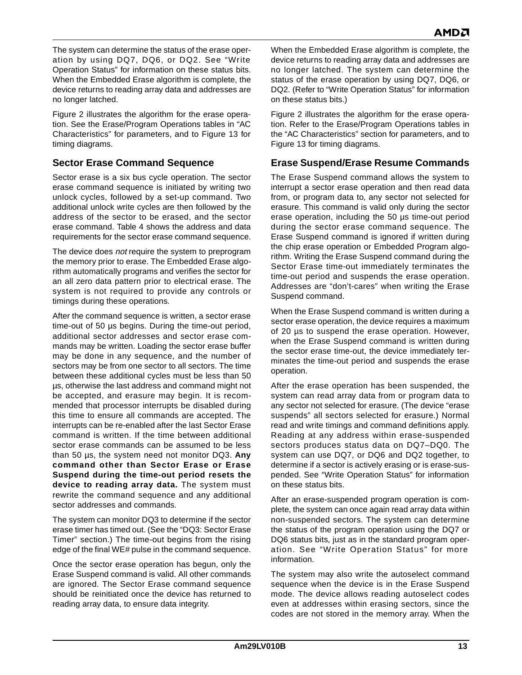The system can determine the status of the erase operation by using DQ7, DQ6, or DQ2. See ["Write](#page-16-0) [Operation Status"](#page-16-0) for information on these status bits. When the Embedded Erase algorithm is complete, the device returns to reading array data and addresses are no longer latched.

[Figure 2](#page-14-0) illustrates the algorithm for the erase operation. See the [Erase/Program Operations](#page-25-0) tables in ["AC](#page-24-0) [Characteristics"](#page-24-0) for parameters, and to [Figure 13](#page-27-0) for timing diagrams.

### <span id="page-13-0"></span>**Sector Erase Command Sequence**

Sector erase is a six bus cycle operation. The sector erase command sequence is initiated by writing two unlock cycles, followed by a set-up command. Two additional unlock write cycles are then followed by the address of the sector to be erased, and the sector erase command. [Table 4](#page-15-1) shows the address and data requirements for the sector erase command sequence.

The device does *not* require the system to preprogram the memory prior to erase. The Embedded Erase algorithm automatically programs and verifies the sector for an all zero data pattern prior to electrical erase. The system is not required to provide any controls or timings during these operations.

After the command sequence is written, a sector erase time-out of 50 µs begins. During the time-out period, additional sector addresses and sector erase commands may be written. Loading the sector erase buffer may be done in any sequence, and the number of sectors may be from one sector to all sectors. The time between these additional cycles must be less than 50 µs, otherwise the last address and command might not be accepted, and erasure may begin. It is recommended that processor interrupts be disabled during this time to ensure all commands are accepted. The interrupts can be re-enabled after the last Sector Erase command is written. If the time between additional sector erase commands can be assumed to be less than 50 µs, the system need not monitor DQ3. **Any command other than Sector Erase or Erase Suspend during the time-out period resets the device to reading array data.** The system must rewrite the command sequence and any additional sector addresses and commands.

The system can monitor DQ3 to determine if the sector erase timer has timed out. (See the ["DQ3: Sector Erase](#page-18-2) [Timer"](#page-18-2) section.) The time-out begins from the rising edge of the final WE# pulse in the command sequence.

Once the sector erase operation has begun, only the Erase Suspend command is valid. All other commands are ignored. The Sector Erase command sequence should be reinitiated once the device has returned to reading array data, to ensure data integrity.

When the Embedded Erase algorithm is complete, the device returns to reading array data and addresses are no longer latched. The system can determine the status of the erase operation by using DQ7, DQ6, or DQ2. (Refer to ["Write Operation Status"](#page-16-0) for information on these status bits.)

[Figure 2](#page-14-0) illustrates the algorithm for the erase operation. Refer to the [Erase/Program Operations](#page-25-0) tables in the ["AC Characteristics"](#page-24-0) section for parameters, and to [Figure 13](#page-27-0) for timing diagrams.

# <span id="page-13-1"></span>**Erase Suspend/Erase Resume Commands**

The Erase Suspend command allows the system to interrupt a sector erase operation and then read data from, or program data to, any sector not selected for erasure. This command is valid only during the sector erase operation, including the 50 µs time-out period during the sector erase command sequence. The Erase Suspend command is ignored if written during the chip erase operation or Embedded Program algorithm. Writing the Erase Suspend command during the Sector Erase time-out immediately terminates the time-out period and suspends the erase operation. Addresses are "don't-cares" when writing the Erase Suspend command.

When the Erase Suspend command is written during a sector erase operation, the device requires a maximum of 20 µs to suspend the erase operation. However, when the Erase Suspend command is written during the sector erase time-out, the device immediately terminates the time-out period and suspends the erase operation.

After the erase operation has been suspended, the system can read array data from or program data to any sector not selected for erasure. (The device "erase suspends" all sectors selected for erasure.) Normal read and write timings and command definitions apply. Reading at any address within erase-suspended sectors produces status data on DQ7–DQ0. The system can use DQ7, or DQ6 and DQ2 together, to determine if a sector is actively erasing or is erase-suspended. See ["Write Operation Status"](#page-16-0) for information on these status bits.

After an erase-suspended program operation is complete, the system can once again read array data within non-suspended sectors. The system can determine the status of the program operation using the DQ7 or DQ6 status bits, just as in the standard program operation. See ["Write Operation Status"](#page-16-0) for more information.

The system may also write the autoselect command sequence when the device is in the Erase Suspend mode. The device allows reading autoselect codes even at addresses within erasing sectors, since the codes are not stored in the memory array. When the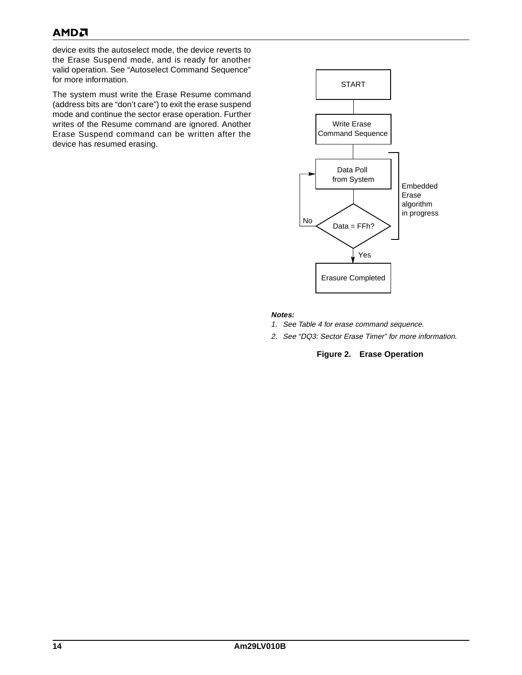# **AMDA**

device exits the autoselect mode, the device reverts to the Erase Suspend mode, and is ready for another valid operation. See ["Autoselect Command Sequence"](#page-11-4) for more information.

The system must write the Erase Resume command (address bits are "don't care") to exit the erase suspend mode and continue the sector erase operation. Further writes of the Resume command are ignored. Another Erase Suspend command can be written after the device has resumed erasing.



#### **Notes:**

- 1. See [Table 4](#page-15-1) for erase command sequence.
- <span id="page-14-0"></span>2. See ["DQ3: Sector Erase Timer"](#page-18-2) for more information.

#### **Figure 2. Erase Operation**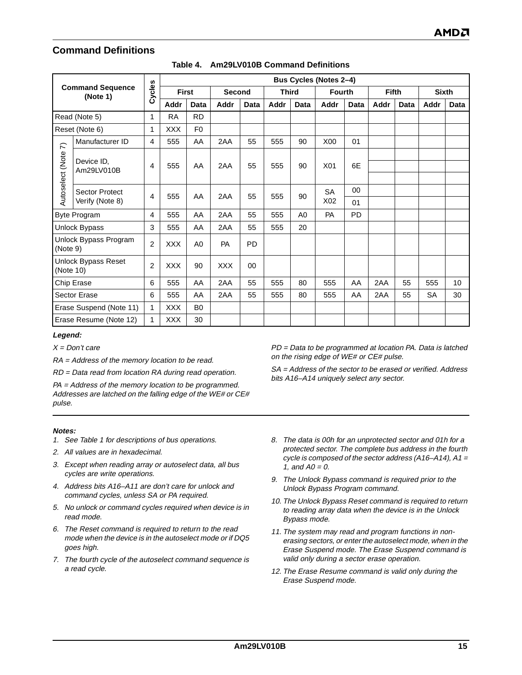# <span id="page-15-0"></span>**Command Definitions**

<span id="page-15-1"></span>

|                                     |                            |                |              |                |            |             |              |                | <b>Bus Cycles (Notes 2-4)</b> |      |              |      |              |             |
|-------------------------------------|----------------------------|----------------|--------------|----------------|------------|-------------|--------------|----------------|-------------------------------|------|--------------|------|--------------|-------------|
| <b>Command Sequence</b><br>(Note 1) |                            | Cycles         | <b>First</b> |                | Second     |             | <b>Third</b> |                | <b>Fourth</b>                 |      | <b>Fifth</b> |      | <b>Sixth</b> |             |
|                                     |                            |                | Addr         | <b>Data</b>    | Addr       | <b>Data</b> | Addr         | <b>Data</b>    | Addr                          | Data | Addr         | Data | Addr         | <b>Data</b> |
|                                     | Read (Note 5)              | 1              | <b>RA</b>    | <b>RD</b>      |            |             |              |                |                               |      |              |      |              |             |
|                                     | Reset (Note 6)             | 1              | <b>XXX</b>   | F <sub>0</sub> |            |             |              |                |                               |      |              |      |              |             |
| $\widehat{\kappa}$                  | Manufacturer ID            | $\overline{4}$ | 555          | AA             | 2AA        | 55          | 555          | 90             | X00                           | 01   |              |      |              |             |
| Autoselect (Note                    | Device ID,<br>Am29LV010B   | 4              | 555          | AA             | 2AA        | 55          | 555          | 90             | X01                           | 6E   |              |      |              |             |
|                                     | <b>Sector Protect</b>      | 4              | 555          | AA             | 2AA        | 55          | 555          | 90             | <b>SA</b>                     | 00   |              |      |              |             |
|                                     | Verify (Note 8)            |                |              |                |            |             |              |                | X02                           | 01   |              |      |              |             |
|                                     | <b>Byte Program</b>        | 4              | 555          | AA             | 2AA        | 55          | 555          | A <sub>0</sub> | <b>PA</b>                     | PD   |              |      |              |             |
|                                     | <b>Unlock Bypass</b>       | 3              | 555          | AA             | 2AA        | 55          | 555          | 20             |                               |      |              |      |              |             |
| (Note 9)                            | Unlock Bypass Program      | $\overline{2}$ | <b>XXX</b>   | A0             | PA         | <b>PD</b>   |              |                |                               |      |              |      |              |             |
| (Note 10)                           | <b>Unlock Bypass Reset</b> | 2              | <b>XXX</b>   | 90             | <b>XXX</b> | $00\,$      |              |                |                               |      |              |      |              |             |
| Chip Erase                          |                            | 6              | 555          | AA             | 2AA        | 55          | 555          | 80             | 555                           | AA   | 2AA          | 55   | 555          | 10          |
| <b>Sector Erase</b>                 |                            | 6              | 555          | AA             | 2AA        | 55          | 555          | 80             | 555                           | AA   | 2AA          | 55   | <b>SA</b>    | 30          |
|                                     | Erase Suspend (Note 11)    | 1              | <b>XXX</b>   | B <sub>0</sub> |            |             |              |                |                               |      |              |      |              |             |
|                                     | Erase Resume (Note 12)     | $\mathbf{1}$   | <b>XXX</b>   | 30             |            |             |              |                |                               |      |              |      |              |             |

#### **Table 4. Am29LV010B Command Definitions**

#### **Legend:**

 $X = Don't care$ 

RA = Address of the memory location to be read.

RD = Data read from location RA during read operation.

PA = Address of the memory location to be programmed. Addresses are latched on the falling edge of the WE# or CE# pulse.

#### **Notes:**

- <span id="page-15-3"></span>1. See [Table 1](#page-8-1) for descriptions of bus operations.
- <span id="page-15-4"></span>2. All values are in hexadecimal.
- 3. Except when reading array or autoselect data, all bus cycles are write operations.
- <span id="page-15-5"></span>4. Address bits A16–A11 are don't care for unlock and command cycles, unless SA or PA required.
- <span id="page-15-6"></span>5. No unlock or command cycles required when device is in read mode.
- <span id="page-15-7"></span>6. The Reset command is required to return to the read mode when the device is in the autoselect mode or if DQ5 goes high.
- <span id="page-15-2"></span>7. The fourth cycle of the autoselect command sequence is a read cycle.

PD = Data to be programmed at location PA. Data is latched on the rising edge of WE# or CE# pulse.

SA = Address of the sector to be erased or verified. Address bits A16–A14 uniquely select any sector.

- <span id="page-15-8"></span>8. The data is 00h for an unprotected sector and 01h for a protected sector. The complete bus address in the fourth cycle is composed of the sector address (A16-A14),  $A1 =$ 1, and  $AO = 0$ .
- <span id="page-15-9"></span>9. The Unlock Bypass command is required prior to the Unlock Bypass Program command.
- <span id="page-15-10"></span>10. The Unlock Bypass Reset command is required to return to reading array data when the device is in the Unlock Bypass mode.
- <span id="page-15-11"></span>11. The system may read and program functions in nonerasing sectors, or enter the autoselect mode, when in the Erase Suspend mode. The Erase Suspend command is valid only during a sector erase operation.
- <span id="page-15-12"></span>12. The Erase Resume command is valid only during the Erase Suspend mode.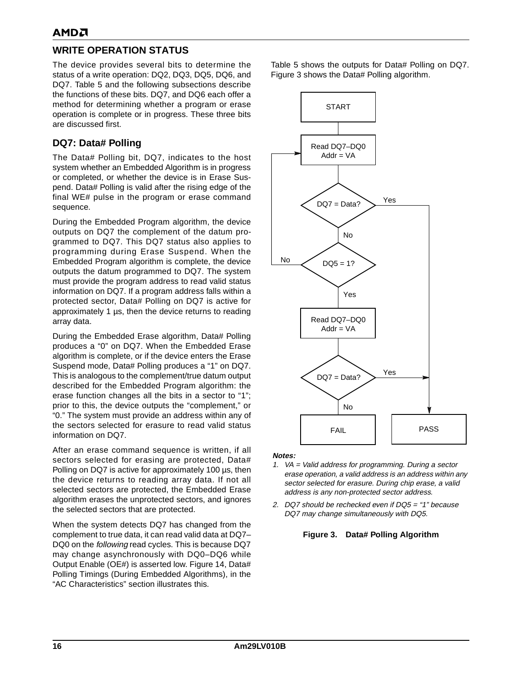# <span id="page-16-0"></span>**WRITE OPERATION STATUS**

The device provides several bits to determine the status of a write operation: DQ2, DQ3, DQ5, DQ6, and DQ7. [Table 5](#page-19-0) and the following subsections describe the functions of these bits. DQ7, and DQ6 each offer a method for determining whether a program or erase operation is complete or in progress. These three bits are discussed first.

# <span id="page-16-1"></span>**DQ7: Data# Polling**

The Data# Polling bit, DQ7, indicates to the host system whether an Embedded Algorithm is in progress or completed, or whether the device is in Erase Suspend. Data# Polling is valid after the rising edge of the final WE# pulse in the program or erase command sequence.

During the Embedded Program algorithm, the device outputs on DQ7 the complement of the datum programmed to DQ7. This DQ7 status also applies to programming during Erase Suspend. When the Embedded Program algorithm is complete, the device outputs the datum programmed to DQ7. The system must provide the program address to read valid status information on DQ7. If a program address falls within a protected sector, Data# Polling on DQ7 is active for approximately 1 µs, then the device returns to reading array data.

During the Embedded Erase algorithm, Data# Polling produces a "0" on DQ7. When the Embedded Erase algorithm is complete, or if the device enters the Erase Suspend mode, Data# Polling produces a "1" on DQ7. This is analogous to the complement/true datum output described for the Embedded Program algorithm: the erase function changes all the bits in a sector to "1"; prior to this, the device outputs the "complement," or "0." The system must provide an address within any of the sectors selected for erasure to read valid status information on DQ7.

After an erase command sequence is written, if all sectors selected for erasing are protected, Data# Polling on DQ7 is active for approximately 100 µs, then the device returns to reading array data. If not all selected sectors are protected, the Embedded Erase algorithm erases the unprotected sectors, and ignores the selected sectors that are protected.

When the system detects DQ7 has changed from the complement to true data, it can read valid data at DQ7– DQ0 on the following read cycles. This is because DQ7 may change asynchronously with DQ0–DQ6 while Output Enable (OE#) is asserted low. [Figure 14](#page-28-0), [Data#](#page-28-0) [Polling Timings \(During Embedded Algorithms\)](#page-28-0), in the ["AC Characteristics"](#page-24-0) section illustrates this.

[Table 5](#page-19-0) shows the outputs for Data# Polling on DQ7. [Figure 3](#page-16-2) shows the Data# Polling algorithm.



#### **Notes:**

- 1. VA = Valid address for programming. During a sector erase operation, a valid address is an address within any sector selected for erasure. During chip erase, a valid address is any non-protected sector address.
- <span id="page-16-2"></span>2. DQ7 should be rechecked even if DQ5 = "1" because DQ7 may change simultaneously with DQ5.

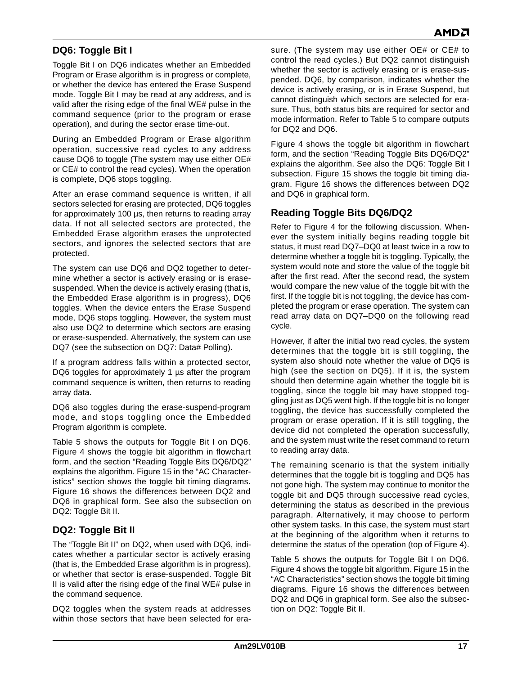# <span id="page-17-0"></span>**DQ6: Toggle Bit I**

Toggle Bit I on DQ6 indicates whether an Embedded Program or Erase algorithm is in progress or complete, or whether the device has entered the Erase Suspend mode. Toggle Bit I may be read at any address, and is valid after the rising edge of the final WE# pulse in the command sequence (prior to the program or erase operation), and during the sector erase time-out.

During an Embedded Program or Erase algorithm operation, successive read cycles to any address cause DQ6 to toggle (The system may use either OE# or CE# to control the read cycles). When the operation is complete, DQ6 stops toggling.

After an erase command sequence is written, if all sectors selected for erasing are protected, DQ6 toggles for approximately 100 µs, then returns to reading array data. If not all selected sectors are protected, the Embedded Erase algorithm erases the unprotected sectors, and ignores the selected sectors that are protected.

The system can use DQ6 and DQ2 together to determine whether a sector is actively erasing or is erasesuspended. When the device is actively erasing (that is, the Embedded Erase algorithm is in progress), DQ6 toggles. When the device enters the Erase Suspend mode, DQ6 stops toggling. However, the system must also use DQ2 to determine which sectors are erasing or erase-suspended. Alternatively, the system can use DQ7 (see the subsection on [DQ7: Data# Polling](#page-16-1)).

If a program address falls within a protected sector, DQ6 toggles for approximately 1 us after the program command sequence is written, then returns to reading array data.

DQ6 also toggles during the erase-suspend-program mode, and stops toggling once the Embedded Program algorithm is complete.

[Table 5](#page-19-0) shows the outputs for Toggle Bit I on DQ6. [Figure 4](#page-18-0) shows the toggle bit algorithm in flowchart form, and the section ["Reading Toggle Bits DQ6/DQ2"](#page-17-2) explains the algorithm. [Figure 15](#page-28-1) in the ["AC Character](#page-24-0)[istics"](#page-24-0) section shows the toggle bit timing diagrams. [Figure 16](#page-29-0) shows the differences between DQ2 and DQ6 in graphical form. See also the subsection on [DQ2: Toggle Bit II](#page-17-1).

### <span id="page-17-1"></span>**DQ2: Toggle Bit II**

The "Toggle Bit II" on DQ2, when used with DQ6, indicates whether a particular sector is actively erasing (that is, the Embedded Erase algorithm is in progress), or whether that sector is erase-suspended. Toggle Bit II is valid after the rising edge of the final WE# pulse in the command sequence.

DQ2 toggles when the system reads at addresses within those sectors that have been selected for erasure. (The system may use either OE# or CE# to control the read cycles.) But DQ2 cannot distinguish whether the sector is actively erasing or is erase-suspended. DQ6, by comparison, indicates whether the device is actively erasing, or is in Erase Suspend, but cannot distinguish which sectors are selected for erasure. Thus, both status bits are required for sector and mode information. Refer to [Table 5](#page-19-0) to compare outputs for DQ2 and DQ6.

[Figure 4](#page-18-0) shows the toggle bit algorithm in flowchart form, and the section ["Reading Toggle Bits DQ6/DQ2"](#page-17-2) explains the algorithm. See also the [DQ6: Toggle Bit I](#page-17-0) subsection. [Figure 15](#page-28-1) shows the toggle bit timing diagram. [Figure 16](#page-29-0) shows the differences between DQ2 and DQ6 in graphical form.

# <span id="page-17-2"></span>**Reading Toggle Bits DQ6/DQ2**

Refer to [Figure 4](#page-18-0) for the following discussion. Whenever the system initially begins reading toggle bit status, it must read DQ7–DQ0 at least twice in a row to determine whether a toggle bit is toggling. Typically, the system would note and store the value of the toggle bit after the first read. After the second read, the system would compare the new value of the toggle bit with the first. If the toggle bit is not toggling, the device has completed the program or erase operation. The system can read array data on DQ7–DQ0 on the following read cycle.

However, if after the initial two read cycles, the system determines that the toggle bit is still toggling, the system also should note whether the value of DQ5 is high (see the section on DQ5). If it is, the system should then determine again whether the toggle bit is toggling, since the toggle bit may have stopped toggling just as DQ5 went high. If the toggle bit is no longer toggling, the device has successfully completed the program or erase operation. If it is still toggling, the device did not completed the operation successfully, and the system must write the reset command to return to reading array data.

The remaining scenario is that the system initially determines that the toggle bit is toggling and DQ5 has not gone high. The system may continue to monitor the toggle bit and DQ5 through successive read cycles, determining the status as described in the previous paragraph. Alternatively, it may choose to perform other system tasks. In this case, the system must start at the beginning of the algorithm when it returns to determine the status of the operation (top of [Figure 4](#page-18-0)).

[Table 5](#page-19-0) shows the outputs for Toggle Bit I on DQ6. [Figure 4](#page-18-0) shows the toggle bit algorithm. [Figure 15](#page-28-1) in the ["AC Characteristics"](#page-24-0) section shows the toggle bit timing diagrams. [Figure 16](#page-29-0) shows the differences between DQ2 and DQ6 in graphical form. See also the subsection on [DQ2: Toggle Bit II.](#page-17-1)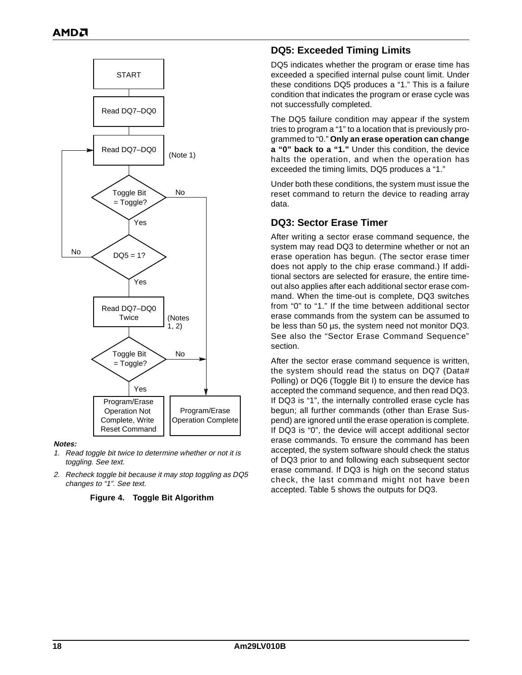

#### **Notes:**

- <span id="page-18-3"></span>1. Read toggle bit twice to determine whether or not it is toggling. See text.
- <span id="page-18-4"></span><span id="page-18-0"></span>2. Recheck toggle bit because it may stop toggling as DQ5 changes to "1". See text.

#### **Figure 4. Toggle Bit Algorithm**

### <span id="page-18-1"></span>**DQ5: Exceeded Timing Limits**

DQ5 indicates whether the program or erase time has exceeded a specified internal pulse count limit. Under these conditions DQ5 produces a "1." This is a failure condition that indicates the program or erase cycle was not successfully completed.

The DQ5 failure condition may appear if the system tries to program a "1" to a location that is previously programmed to "0." **Only an erase operation can change a "0" back to a "1."** Under this condition, the device halts the operation, and when the operation has exceeded the timing limits, DQ5 produces a "1."

Under both these conditions, the system must issue the reset command to return the device to reading array data.

### <span id="page-18-2"></span>**DQ3: Sector Erase Timer**

After writing a sector erase command sequence, the system may read DQ3 to determine whether or not an erase operation has begun. (The sector erase timer does not apply to the chip erase command.) If additional sectors are selected for erasure, the entire timeout also applies after each additional sector erase command. When the time-out is complete, DQ3 switches from "0" to "1." If the time between additional sector erase commands from the system can be assumed to be less than 50 us, the system need not monitor DQ3. See also the ["Sector Erase Command Sequence"](#page-13-0) section.

After the sector erase command sequence is written, the system should read the status on DQ7 (Data# Polling) or DQ6 (Toggle Bit I) to ensure the device has accepted the command sequence, and then read DQ3. If DQ3 is "1", the internally controlled erase cycle has begun; all further commands (other than Erase Suspend) are ignored until the erase operation is complete. If DQ3 is "0", the device will accept additional sector erase commands. To ensure the command has been accepted, the system software should check the status of DQ3 prior to and following each subsequent sector erase command. If DQ3 is high on the second status check, the last command might not have been accepted. [Table 5](#page-19-0) shows the outputs for DQ3.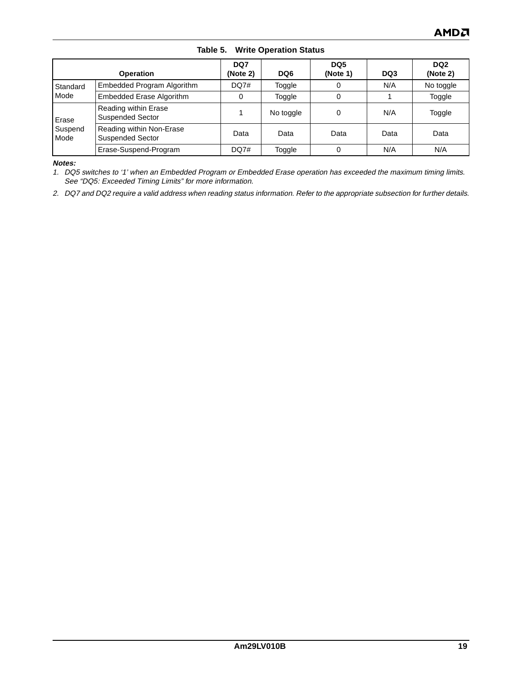<span id="page-19-0"></span>

|                          | <b>Operation</b>                                    | DQ7<br>(Note 2) | DQ6       | DQ <sub>5</sub><br>(Note 1) | DQ3  | DQ <sub>2</sub><br>(Note 2) |
|--------------------------|-----------------------------------------------------|-----------------|-----------|-----------------------------|------|-----------------------------|
| Standard                 | Embedded Program Algorithm                          | DQ7#            | Toggle    |                             | N/A  | No toggle                   |
| Mode                     | <b>Embedded Erase Algorithm</b>                     | 0               | Toggle    |                             |      | Toggle                      |
| Erase<br>Suspend<br>Mode | Reading within Erase<br><b>Suspended Sector</b>     |                 | No toggle | 0                           | N/A  | Toggle                      |
|                          | Reading within Non-Erase<br><b>Suspended Sector</b> | Data            | Data      | Data                        | Data | Data                        |
|                          | Erase-Suspend-Program                               | DQ7#            | Toggle    |                             | N/A  | N/A                         |

**Table 5. Write Operation Status** 

**Notes:**

<span id="page-19-2"></span>1. DQ5 switches to '1' when an Embedded Program or Embedded Erase operation has exceeded the maximum timing limits. See ["DQ5: Exceeded Timing Limits"](#page-18-1) for more information.

<span id="page-19-1"></span>2. DQ7 and DQ2 require a valid address when reading status information. Refer to the appropriate subsection for further details.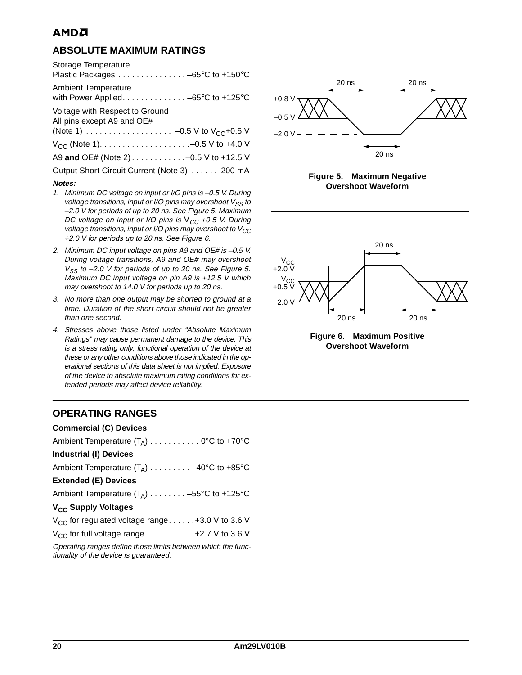# <span id="page-20-0"></span>**ABSOLUTE MAXIMUM RATINGS**

| Storage Temperature<br>Plastic Packages -65°C to +150°C                                                |
|--------------------------------------------------------------------------------------------------------|
| <b>Ambient Temperature</b><br>with Power Applied. $\ldots \ldots \ldots \ldots -65^{\circ}C$ to +125°C |
| Voltage with Respect to Ground<br>All pins except A9 and OE#                                           |
|                                                                                                        |
|                                                                                                        |
| A9 and OE# (Note 2) -0.5 V to +12.5 V                                                                  |
| Output Short Circuit Current (Note 3) 200 mA                                                           |
| Notes:                                                                                                 |

- 1. Minimum DC voltage on input or I/O pins is –0.5 V. During voltage transitions, input or I/O pins may overshoot  $V_{SS}$  to –2.0 V for periods of up to 20 ns. See [Figure 5](#page-20-1). Maximum DC voltage on input or I/O pins is  $V_{CC}$  +0.5 V. During voltage transitions, input or I/O pins may overshoot to  $V_{CC}$ +2.0 V for periods up to 20 ns. See [Figure 6](#page-20-2).
- 2. Minimum DC input voltage on pins A9 and OE# is -0.5 V. During voltage transitions, A9 and OE# may overshoot  $V_{SS}$  to -2.0 V for periods of up to 20 ns. See [Figure 5](#page-20-1). Maximum DC input voltage on pin A9 is +12.5 V which may overshoot to 14.0 V for periods up to 20 ns.
- 3. No more than one output may be shorted to ground at a time. Duration of the short circuit should not be greater than one second.
- 4. Stresses above those listed under "Absolute Maximum Ratings" may cause permanent damage to the device. This is a stress rating only; functional operation of the device at these or any other conditions above those indicated in the operational sections of this data sheet is not implied. Exposure of the device to absolute maximum rating conditions for extended periods may affect device reliability.

### <span id="page-20-3"></span>**OPERATING RANGES**

| <b>Commercial (C) Devices</b>                                                                          |
|--------------------------------------------------------------------------------------------------------|
| Ambient Temperature $(T_A)$ 0°C to +70°C                                                               |
| <b>Industrial (I) Devices</b>                                                                          |
| Ambient Temperature $(T_A)$ -40°C to +85°C                                                             |
| <b>Extended (E) Devices</b>                                                                            |
| Ambient Temperature $(T_A)$ -55°C to +125°C                                                            |
| V <sub>CC</sub> Supply Voltages                                                                        |
| $V_{CC}$ for regulated voltage range +3.0 V to 3.6 V                                                   |
| $V_{CC}$ for full voltage range $\dots \dots \dots \dots +2.7$ V to 3.6 V                              |
| Operating ranges define those limits between which the func-<br>tionality of the device is quaranteed. |



<span id="page-20-1"></span>**Figure 5. Maximum Negative Overshoot Waveform**



<span id="page-20-2"></span>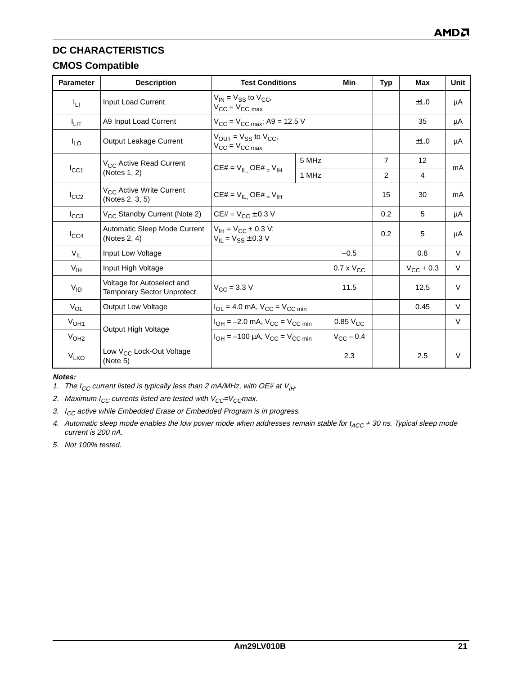# <span id="page-21-0"></span>**CMOS Compatible**

| <b>Parameter</b>       | <b>Description</b>                                              | <b>Test Conditions</b>                                                         |       | Min                 | <b>Typ</b>     | <b>Max</b>            | Unit   |
|------------------------|-----------------------------------------------------------------|--------------------------------------------------------------------------------|-------|---------------------|----------------|-----------------------|--------|
| ŀц                     | Input Load Current                                              | $V_{IN} = V_{SS}$ to $V_{CC}$ ,<br>$V_{CC}$ = $V_{CC}$ max                     |       |                     |                | ±1.0                  | μA     |
| <sup>I</sup> ыт        | A9 Input Load Current                                           | $V_{CC} = V_{CC \, max}$ ; A9 = 12.5 V                                         |       |                     |                | 35                    | μA     |
| $I_{LO}$               | Output Leakage Current                                          | $V_{\text{OUT}} = V_{SS}$ to $V_{CC}$ ,<br>$V_{\text{CC}} = V_{\text{CC max}}$ |       |                     |                | ±1.0                  | μA     |
|                        | V <sub>CC</sub> Active Read Current                             |                                                                                | 5 MHz |                     | $\overline{7}$ | 12                    |        |
| $I_{\rm CC1}$          | (Notes 1, 2)                                                    | $CE# = V_{IL}$ , $OE# = V_{IH}$                                                | 1 MHz |                     | 2              | 4                     | mA     |
| $I_{CC2}$              | V <sub>CC</sub> Active Write Current<br>(Notes 2, 3, 5)         | $CE# = V_{IL}$ , $OE# = V_{IH}$                                                |       |                     | 15             | 30                    | mA     |
| $I_{CC3}$              | V <sub>CC</sub> Standby Current (Note 2)                        | $CE# = V_{CC} \pm 0.3 V$                                                       |       |                     | 0.2            | 5                     | μA     |
| $I_{CC4}$              | Automatic Sleep Mode Current<br>(Notes $2, 4$ )                 | $V_{IH} = V_{CC} \pm 0.3 V;$<br>$V_{IL} = V_{SS} \pm 0.3 V$                    |       |                     | 0.2            | 5                     | μA     |
| $V_{IL}$               | Input Low Voltage                                               |                                                                                |       | $-0.5$              |                | 0.8                   | $\vee$ |
| V <sub>IH</sub>        | Input High Voltage                                              |                                                                                |       | $0.7 \times V_{CC}$ |                | $V_{\text{CC}} + 0.3$ | $\vee$ |
| $V_{ID}$               | Voltage for Autoselect and<br><b>Temporary Sector Unprotect</b> | $V_{\rm CC} = 3.3 \text{ V}$                                                   |       | 11.5                |                | 12.5                  | $\vee$ |
| $V_{OL}$               | Output Low Voltage                                              | $I_{OL}$ = 4.0 mA, $V_{CC}$ = $V_{CC}$ min                                     |       |                     |                | 0.45                  | $\vee$ |
| V <sub>OH1</sub>       |                                                                 | $I_{OH} = -2.0$ mA, $V_{CC} = V_{CC min}$                                      |       | $0.85$ $V_{CC}$     |                |                       | $\vee$ |
| V <sub>OH2</sub>       | Output High Voltage                                             | $I_{OH} = -100 \mu A$ , $V_{CC} = V_{CC min}$                                  |       | $V_{CC}$ – 0.4      |                |                       |        |
| <b>V<sub>LKO</sub></b> | Low V <sub>CC</sub> Lock-Out Voltage<br>(Note 5)                |                                                                                |       | 2.3                 |                | 2.5                   | $\vee$ |

#### **Notes:**

<span id="page-21-1"></span>1. The I<sub>CC</sub> current listed is typically less than 2 mA/MHz, with OE# at  $V_{H}$ .

<span id="page-21-2"></span>2. Maximum  $I_{CC}$  currents listed are tested with  $V_{CC}=V_{CC}$ max.

- <span id="page-21-3"></span>3.  $I_{CC}$  active while Embedded Erase or Embedded Program is in progress.
- <span id="page-21-5"></span>4. Automatic sleep mode enables the low power mode when addresses remain stable for  $t_{ACC}$  + 30 ns. Typical sleep mode current is 200 nA.
- <span id="page-21-4"></span>5. Not 100% tested.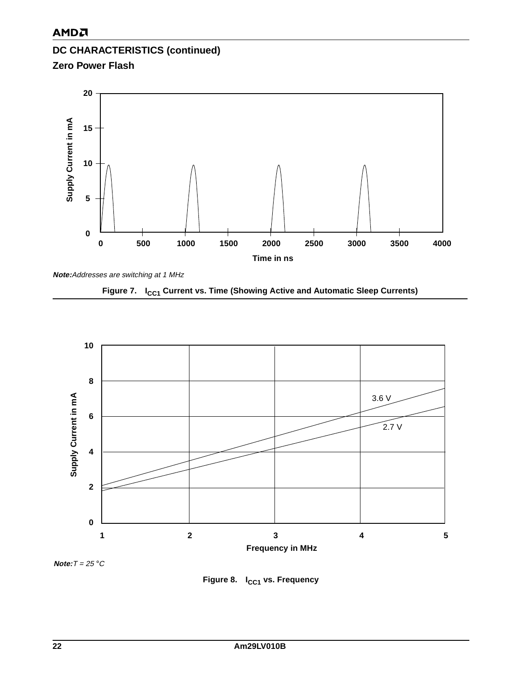# **DC CHARACTERISTICS (continued) Zero Power Flash**



<span id="page-22-0"></span>





<span id="page-22-1"></span>**Note:**T = 25 °C

Figure 8. I<sub>CC1</sub> vs. Frequency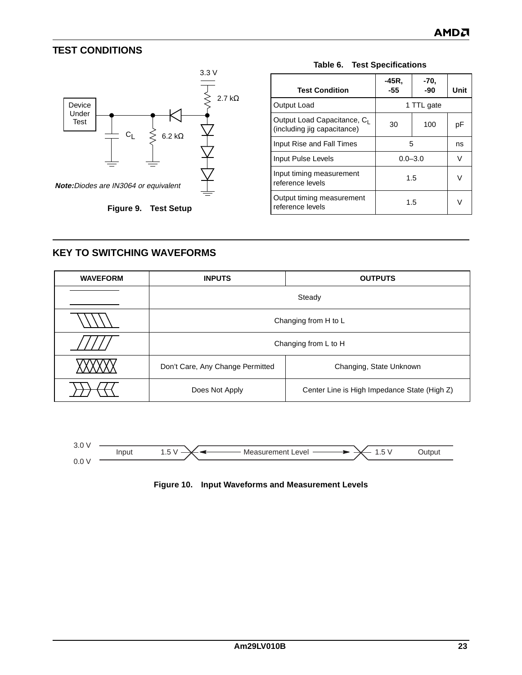# <span id="page-23-0"></span>**TEST CONDITIONS**



<span id="page-23-2"></span>

| <b>Test Condition</b>                                                  | -45R.<br>-55 | -70,<br>-90 | Unit |
|------------------------------------------------------------------------|--------------|-------------|------|
| Output Load                                                            |              | 1 TTL gate  |      |
| Output Load Capacitance, C <sub>1</sub><br>(including jig capacitance) | 30           | 100         | рF   |
| Input Rise and Fall Times                                              | 5            |             | ns   |
| Input Pulse Levels                                                     |              | $0.0 - 3.0$ |      |
| Input timing measurement<br>reference levels                           | 1.5          |             |      |
| Output timing measurement<br>reference levels                          | 1.5          |             |      |

#### **Table 6. Test Specifications**

### <span id="page-23-3"></span><span id="page-23-1"></span>**KEY TO SWITCHING WAVEFORMS**

| <b>WAVEFORM</b> | <b>INPUTS</b>                    | <b>OUTPUTS</b>                               |  |  |  |  |
|-----------------|----------------------------------|----------------------------------------------|--|--|--|--|
|                 | Steady                           |                                              |  |  |  |  |
|                 | Changing from H to L             |                                              |  |  |  |  |
|                 |                                  | Changing from L to H                         |  |  |  |  |
|                 | Don't Care, Any Change Permitted | Changing, State Unknown                      |  |  |  |  |
|                 | Does Not Apply                   | Center Line is High Impedance State (High Z) |  |  |  |  |

<span id="page-23-4"></span>

**Figure 10. Input Waveforms and Measurement Levels**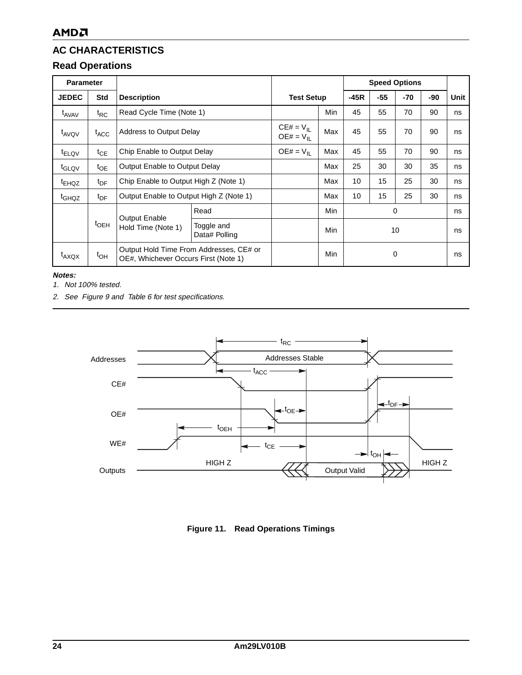# <span id="page-24-1"></span><span id="page-24-0"></span>**Read Operations**

| <b>Parameter</b>  |                  |                                            |                                                                                 |                                         |        | <b>Speed Options</b> |       |     |      |    |
|-------------------|------------------|--------------------------------------------|---------------------------------------------------------------------------------|-----------------------------------------|--------|----------------------|-------|-----|------|----|
| <b>JEDEC</b>      | <b>Std</b>       | <b>Description</b>                         | <b>Test Setup</b>                                                               |                                         | $-45R$ | $-55$                | $-70$ | -90 | Unit |    |
| t <sub>AVAV</sub> | $t_{RC}$         | Read Cycle Time (Note 1)                   |                                                                                 |                                         | Min    | 45                   | 55    | 70  | 90   | ns |
| t <sub>AVQV</sub> | $t_{\text{ACC}}$ | Address to Output Delay                    |                                                                                 | $CE# = V_{\text{II}}$<br>$OE# = V_{II}$ | Max    | 45                   | 55    | 70  | 90   | ns |
| t <sub>ELQV</sub> | $t_{\sf CE}$     | Chip Enable to Output Delay                |                                                                                 | $OE# = V_{II}$                          | Max    | 45                   | 55    | 70  | 90   | ns |
| t <sub>GLQV</sub> | $t_{OE}$         | Output Enable to Output Delay              |                                                                                 |                                         | Max    | 25                   | 30    | 30  | 35   | ns |
| <sup>t</sup> EHQZ | $t_{\text{DF}}$  | Chip Enable to Output High Z (Note 1)      |                                                                                 |                                         | Max    | 10                   | 15    | 25  | 30   | ns |
| t <sub>GHQZ</sub> | $t_{\text{DF}}$  |                                            | Output Enable to Output High Z (Note 1)                                         |                                         | Max    | 10                   | 15    | 25  | 30   | ns |
|                   |                  |                                            | Read                                                                            |                                         | Min    |                      |       | 0   |      | ns |
|                   | $t$ OEH          | <b>Output Enable</b><br>Hold Time (Note 1) | Toggle and<br>Data# Polling                                                     |                                         | Min    | 10                   |       | ns  |      |    |
| $t_{AXQX}$        | $t_{OH}$         |                                            | Output Hold Time From Addresses, CE# or<br>OE#, Whichever Occurs First (Note 1) |                                         |        |                      |       | 0   |      | ns |

**Notes:**

<span id="page-24-3"></span>1. Not 100% tested.

2. See [Figure 9](#page-23-1) and [Table 6](#page-23-2) for test specifications.



<span id="page-24-2"></span>**Figure 11. Read Operations Timings**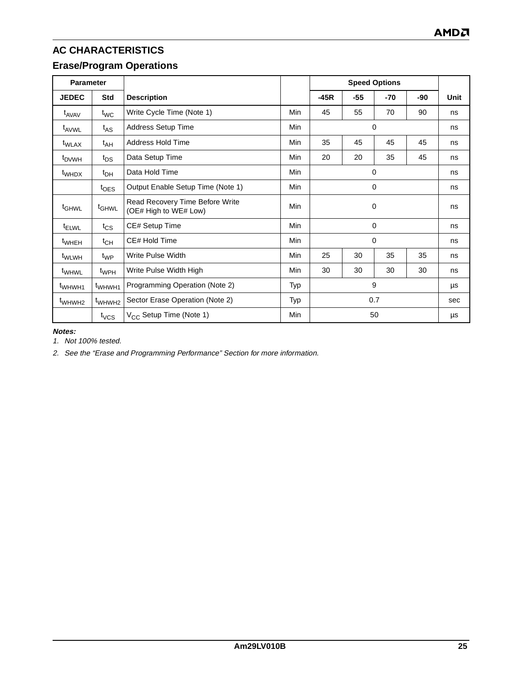# <span id="page-25-0"></span>**Erase/Program Operations**

| <b>Parameter</b>   |                              |                                                          |            | <b>Speed Options</b> |       |       |     |      |
|--------------------|------------------------------|----------------------------------------------------------|------------|----------------------|-------|-------|-----|------|
| <b>JEDEC</b>       | <b>Std</b>                   | <b>Description</b>                                       |            | $-45R$               | $-55$ | $-70$ | -90 | Unit |
| t <sub>AVAV</sub>  | $t_{WC}$                     | Write Cycle Time (Note 1)                                | Min        | 45                   | 55    | 70    | 90  | ns   |
| t <sub>AVWL</sub>  | $t_{AS}$                     | Address Setup Time                                       | <b>Min</b> |                      |       | 0     |     | ns   |
| t <sub>WLAX</sub>  | t <sub>AH</sub>              | <b>Address Hold Time</b>                                 | Min        | 35                   | 45    | 45    | 45  | ns   |
| <sup>t</sup> DVWH  | $t_{DS}$                     | Data Setup Time                                          | Min        | 20                   | 20    | 35    | 45  | ns   |
| t <sub>WHDX</sub>  | $t_{DH}$                     | Data Hold Time                                           | Min        | 0                    |       |       | ns  |      |
|                    | $t_{\text{OES}}$             | Output Enable Setup Time (Note 1)                        | Min        | 0                    |       |       |     | ns   |
| t <sub>GHWL</sub>  | <sup>t</sup> GHWL            | Read Recovery Time Before Write<br>(OE# High to WE# Low) | <b>Min</b> | $\mathbf 0$          |       |       |     | ns   |
| t <sub>ELWL</sub>  | $t_{CS}$                     | CE# Setup Time                                           | Min        | 0                    |       |       |     | ns   |
| t <sub>WHEH</sub>  | $t_{CH}$                     | CE# Hold Time                                            | Min        |                      |       | 0     |     | ns   |
| t <sub>WLWH</sub>  | $t_{WP}$                     | Write Pulse Width                                        | Min        | 25                   | 30    | 35    | 35  | ns   |
| t <sub>WHWL</sub>  | <sup>t</sup> wp <sub>H</sub> | Write Pulse Width High                                   | Min        | 30                   | 30    | 30    | 30  | ns   |
| t <sub>WHWH1</sub> | t <sub>WHWH1</sub>           | Programming Operation (Note 2)                           | Typ        | 9                    |       |       | μs  |      |
| t <sub>WHWH2</sub> | t <sub>WHWH2</sub>           | Sector Erase Operation (Note 2)                          | Typ        | 0.7                  |       |       | sec |      |
|                    | $t_{VCS}$                    | $V_{CC}$ Setup Time (Note 1)                             | Min        |                      |       | 50    |     | μs   |

**Notes:**

<span id="page-25-1"></span>1. Not 100% tested.

<span id="page-25-2"></span>2. See the ["Erase and Programming Performance"](#page-30-1) Section for more information.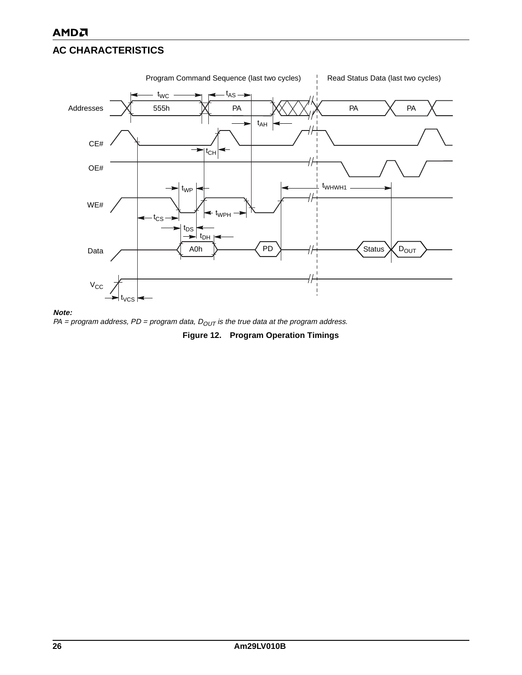

#### **Note:**

<span id="page-26-0"></span>PA = program address, PD = program data,  $D_{OUT}$  is the true data at the program address.

**Figure 12. Program Operation Timings**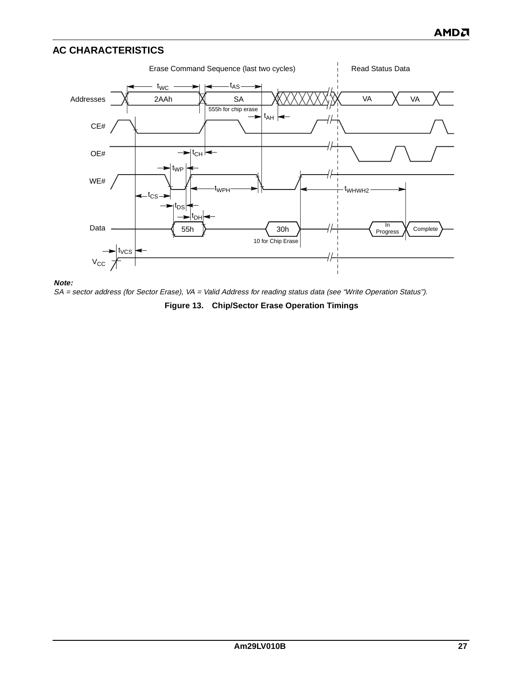

**Note:**

<span id="page-27-0"></span>SA = sector address (for Sector Erase), VA = Valid Address for reading status data (see "Write Operation Status").

**Figure 13. Chip/Sector Erase Operation Timings**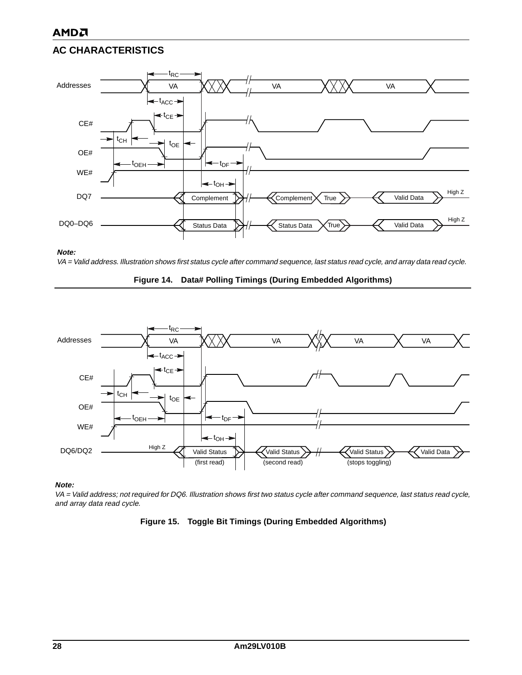

#### **Note:**

<span id="page-28-0"></span>VA = Valid address. Illustration shows first status cycle after command sequence, last status read cycle, and array data read cycle.





### **Note:**

<span id="page-28-1"></span>VA = Valid address; not required for DQ6. Illustration shows first two status cycle after command sequence, last status read cycle, and array data read cycle.

#### **Figure 15. Toggle Bit Timings (During Embedded Algorithms)**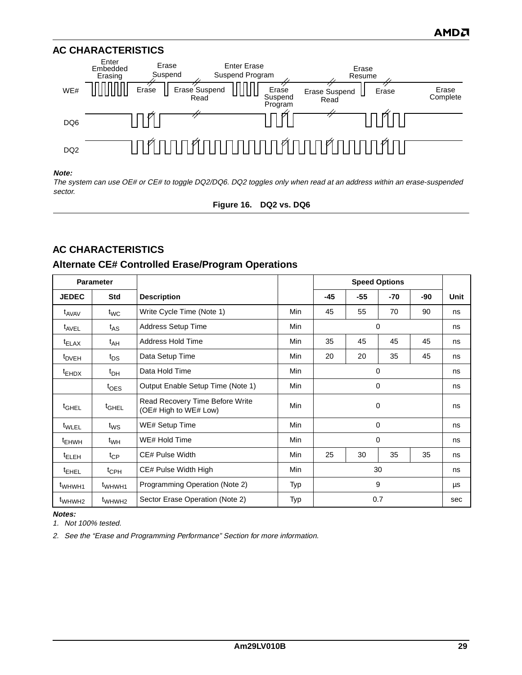

#### **Note:**

<span id="page-29-0"></span>The system can use OE# or CE# to toggle DQ2/DQ6. DQ2 toggles only when read at an address within an erase-suspended sector.

**Figure 16. DQ2 vs. DQ6**

# **AC CHARACTERISTICS**

### **Alternate CE# Controlled Erase/Program Operations**

| <b>Parameter</b>   |                    |                                                          |            | <b>Speed Options</b> |       |          |     |      |
|--------------------|--------------------|----------------------------------------------------------|------------|----------------------|-------|----------|-----|------|
| <b>JEDEC</b>       | <b>Std</b>         | <b>Description</b>                                       |            | -45                  | $-55$ | $-70$    | -90 | Unit |
| t <sub>AVAV</sub>  | $t_{WC}$           | Write Cycle Time (Note 1)                                | Min        | 45                   | 55    | 70       | 90  | ns   |
| t <sub>AVEL</sub>  | $t_{AS}$           | Address Setup Time                                       | Min        |                      |       | $\Omega$ |     | ns   |
| $t_{ELAX}$         | $t_{AH}$           | <b>Address Hold Time</b>                                 | <b>Min</b> | 35                   | 45    | 45       | 45  | ns   |
| <sup>t</sup> DVEH  | $t_{DS}$           | Data Setup Time                                          | Min        | 20                   | 20    | 35       | 45  | ns   |
| <sup>t</sup> EHDX  | $t_{\text{DH}}$    | Data Hold Time                                           | Min        | 0                    |       |          |     | ns   |
|                    | $t_{\text{OES}}$   | Output Enable Setup Time (Note 1)                        | Min        | 0                    |       |          |     | ns   |
| <sup>t</sup> GHEL  | $t_{\text{GHEL}}$  | Read Recovery Time Before Write<br>(OE# High to WE# Low) | Min        | 0                    |       |          | ns  |      |
| t <sub>WLEL</sub>  | $t_{\mathsf{WS}}$  | WE# Setup Time                                           | Min        |                      |       | 0        |     | ns   |
| t <sub>EHWH</sub>  | $t_{WH}$           | WE# Hold Time                                            | Min        |                      |       | 0        |     | ns   |
| <sup>t</sup> ELEH  | $t_{\mathsf{CP}}$  | CE# Pulse Width                                          | Min        | 25                   | 30    | 35       | 35  | ns   |
| <sup>t</sup> EHEL  | $t_{\text{CPH}}$   | CE# Pulse Width High                                     | Min        | 30                   |       |          | ns  |      |
| t <sub>WHWH1</sub> | t <sub>WHWH1</sub> | Programming Operation (Note 2)                           | Typ        | 9                    |       |          | μs  |      |
| t <sub>WHWH2</sub> | t <sub>WHWH2</sub> | Sector Erase Operation (Note 2)                          | Typ        |                      |       | 0.7      |     | sec  |

**Notes:**

<span id="page-29-1"></span>1. Not 100% tested.

<span id="page-29-2"></span>2. See the ["Erase and Programming Performance"](#page-30-1) Section for more information.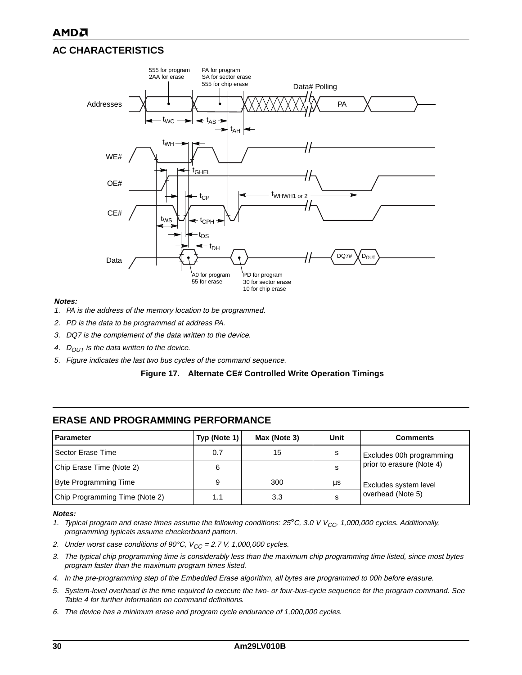

#### **Notes:**

- 1. PA is the address of the memory location to be programmed.
- 2. PD is the data to be programmed at address PA.
- 3. DQ7 is the complement of the data written to the device.
- 4.  $D_{OUT}$  is the data written to the device.
- <span id="page-30-0"></span>5. Figure indicates the last two bus cycles of the command sequence.



| <b>Parameter</b>               | Typ (Note 1) | Max (Note 3) | Unit | <b>Comments</b>           |
|--------------------------------|--------------|--------------|------|---------------------------|
| Sector Erase Time              | 0.7          | 15           |      | Excludes 00h programming  |
| Chip Erase Time (Note 2)       |              |              |      | prior to erasure (Note 4) |
| Byte Programming Time          |              | 300          | μs   | Excludes system level     |
| Chip Programming Time (Note 2) | 1.1          | 3.3          |      | overhead (Note 5)         |

### <span id="page-30-1"></span>**ERASE AND PROGRAMMING PERFORMANCE**

#### **Notes:**

- <span id="page-30-2"></span>1. Typical program and erase times assume the following conditions: 25°C, 3.0 V V<sub>CC</sub>, 1,000,000 cycles. Additionally, programming typicals assume checkerboard pattern.
- <span id="page-30-5"></span>2. Under worst case conditions of 90°C,  $V_{CC} = 2.7$  V, 1,000,000 cycles.
- <span id="page-30-3"></span>3. The typical chip programming time is considerably less than the maximum chip programming time listed, since most bytes program faster than the maximum program times listed.
- <span id="page-30-4"></span>4. In the pre-programming step of the Embedded Erase algorithm, all bytes are programmed to 00h before erasure.
- <span id="page-30-6"></span>5. System-level overhead is the time required to execute the two- or four-bus-cycle sequence for the program command. See [Table 4](#page-15-1) for further information on command definitions.
- 6. The device has a minimum erase and program cycle endurance of 1,000,000 cycles.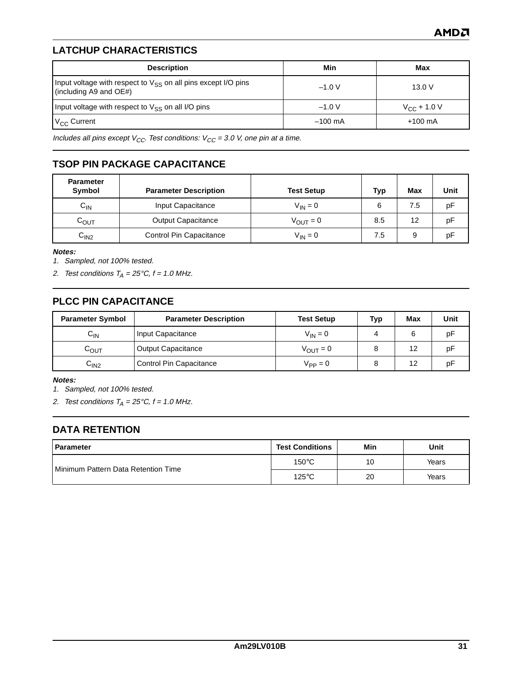# <span id="page-31-0"></span>**LATCHUP CHARACTERISTICS**

| <b>Description</b>                                                                           | Min               | Max               |
|----------------------------------------------------------------------------------------------|-------------------|-------------------|
| Input voltage with respect to $V_{SS}$ on all pins except I/O pins<br>(including A9 and OE#) | $-1.0 V$          | 13.0V             |
| Input voltage with respect to $V_{SS}$ on all I/O pins                                       | $-1.0 V$          | $V_{CC}$ + 1.0 V  |
| $V_{CC}$ Current                                                                             | $-100 \text{ mA}$ | $+100 \text{ mA}$ |

Includes all pins except  $V_{CC}$ . Test conditions:  $V_{CC}$  = 3.0 V, one pin at a time.

# <span id="page-31-1"></span>**TSOP PIN PACKAGE CAPACITANCE**

| <b>Parameter</b><br><b>Symbol</b> | <b>Parameter Description</b> | <b>Test Setup</b>    | <b>Typ</b> | <b>Max</b> | Unit |
|-----------------------------------|------------------------------|----------------------|------------|------------|------|
| $C_{\text{IN}}$                   | Input Capacitance            | $V_{IN} = 0$         | 6          | 7.5        | pF   |
| COUT                              | <b>Output Capacitance</b>    | $V_{\text{OUT}} = 0$ | 8.5        | 12         | рF   |
| C <sub>IN2</sub>                  | Control Pin Capacitance      | $V_{IN} = 0$         | 7.5        | 9          | рF   |

**Notes:**

1. Sampled, not 100% tested.

2. Test conditions  $T_A = 25^{\circ}C$ ,  $f = 1.0$  MHz.

# <span id="page-31-2"></span>**PLCC PIN CAPACITANCE**

| <b>Parameter Symbol</b> | <b>Parameter Description</b> | <b>Test Setup</b>    | Typ | Max | Unit |
|-------------------------|------------------------------|----------------------|-----|-----|------|
| $C_{IN}$                | Input Capacitance            | $V_{IN} = 0$         | 4   |     | рF   |
| $C_{\text{OUT}}$        | <b>Output Capacitance</b>    | $V_{\text{OUT}} = 0$ |     |     | рF   |
| C <sub>IN2</sub>        | Control Pin Capacitance      | $V_{PP} = 0$         |     | 12  | рF   |

**Notes:**

1. Sampled, not 100% tested.

2. Test conditions  $T_A = 25^{\circ}C$ ,  $f = 1.0$  MHz.

### <span id="page-31-3"></span>**DATA RETENTION**

| <b>Parameter</b>                             | <b>Test Conditions</b> | Min | Unit  |
|----------------------------------------------|------------------------|-----|-------|
| <b>I</b> Minimum Pattern Data Retention Time | $150^{\circ}$ C        | 10  | Years |
|                                              | $125^{\circ}$ C        | 20  | Years |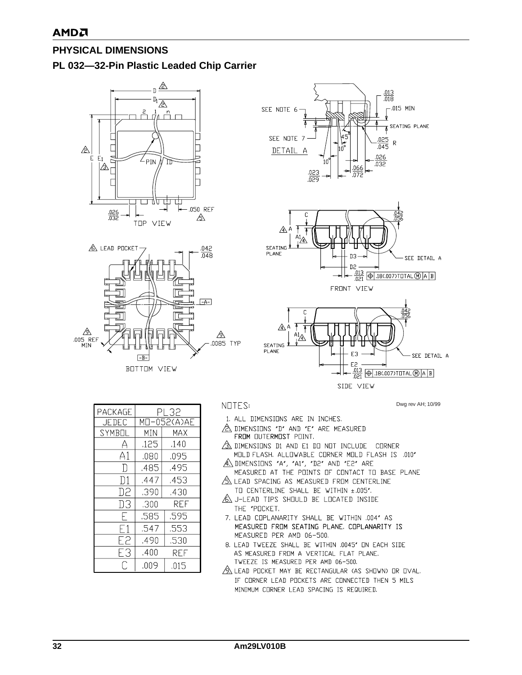# <span id="page-32-0"></span>**PHYSICAL DIMENSIONS**

### <span id="page-32-1"></span>**PL 032—32-Pin Plastic Leaded Chip Carrier**







Dwg rev AH; 10/99

| <b>PACKAGE</b> | PL 32       |      |  |
|----------------|-------------|------|--|
| <b>JEDEC</b>   | MO-052(A)AE |      |  |
| SYMB⊟L         | MIN         | MAX  |  |
|                | .125        | .140 |  |
| А1             | .080        | .095 |  |
|                | .485        | .495 |  |
| D1             | .447        | .453 |  |
| D2             | .390        | .430 |  |
| DЗ             | .300        | REF  |  |
|                | .585        | .595 |  |
|                | .547        | .553 |  |
| E2             | .490        | .530 |  |
| FЗ             | .400        | REF  |  |
| ͡              | .009        | .015 |  |

NOTES:

- 1. ALL DIMENSIONS ARE IN INCHES.
- 2 DIMENSIONS "D" AND "E" ARE MEASURED FROM OUTERMOST POINT.
- $\sqrt{3}$  dimensions di and E1 do not include corner MOLD FLASH. ALLOWABLE CORNER MOLD FLASH IS .010"
- A DIMENSIONS "A", "A1", "D2" AND "E2" ARE MEASURED AT THE POINTS OF CONTACT TO BASE PLANE
- A LEAD SPACING AS MEASURED FROM CENTERLINE TO CENTERLINE SHALL BE WITHIN ±.005".
- A J-LEAD TIPS SHOULD BE LOCATED INSIDE THE "POCKET.
- 7. LEAD COPLANARITY SHALL BE WITHIN .004" AS MEASURED FROM SEATING PLANE, COPLANARITY IS MEASURED PER AMD 06-500.
- 8. LEAD TWEEZE SHALL BE WITHIN .0045" ON EACH SIDE AS MEASURED FROM A VERTICAL FLAT PLANE. TWEEZE IS MEASURED PER AMD 06-500.
- A LEAD POCKET MAY BE RECTANGULAR (AS SHOWN) OR OVAL. IF CORNER LEAD POCKETS ARE CONNECTED THEN 5 MILS MINIMUM CORNER LEAD SPACING IS REQUIRED.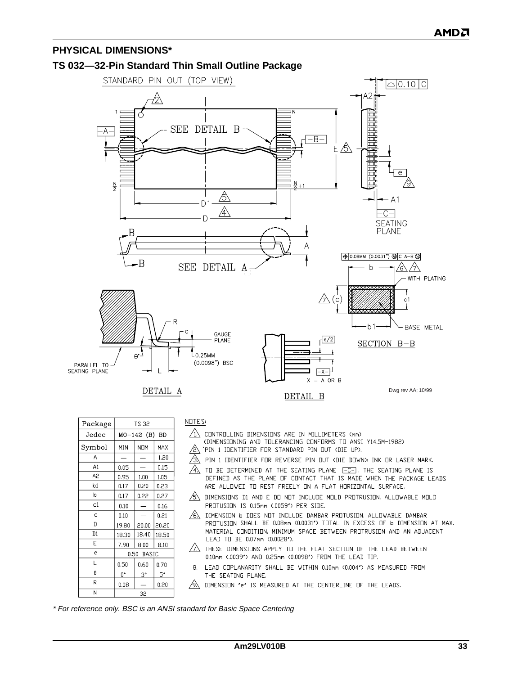### **PHYSICAL DIMENSIONS\***

### <span id="page-33-0"></span>**TS 032—32-Pin Standard Thin Small Outline Package**



| Package        | TS 32                      |             |       |
|----------------|----------------------------|-------------|-------|
| Jedec          | MO-142 (B) BD              |             |       |
| Symbol         | MIN                        | <b>NOM</b>  | MAX   |
| Α              |                            |             | 1.20  |
| A1             | 0.05                       |             | 0.15  |
| A <sub>2</sub> | 0.95                       | 1.00        | 1.05  |
| b1             | 0.17                       | 0.20        | 0.23  |
| þ              | 0.17                       | 0.22        | 0.27  |
| C1             | 0.10                       |             | 0.16  |
| Ċ              | 0.10                       |             | 0.21  |
| D              | 19.80                      | 20.00       | 20.20 |
| D1             | 18.30                      | 18.40       | 18.50 |
| E              | 7.90                       | 8.00        | 8.10  |
| e              | 0.50 <sub>1</sub><br>BASIC |             |       |
| L              | 0.50                       | 0.60        | 0.70  |
| θ              | $0^{\circ}$                | $3^{\circ}$ | 5.    |
| R              | 0.08                       |             | 0.20  |
| N              | 32                         |             |       |

NOTES:

- CONTROLLING DIMENSIONS ARE IN MILLIMETERS (mm).
- (DIMENSIONING AND TOLERANCING CONFORMS TO ANSI Y14.5M-1982)
- $\sqrt{2}$  `PIN 1 IDENTIFIER FOR STANDARD PIN OUT (DIE UP).
- $\sqrt{3}$ PIN 1 IDENTIFIER FOR REVERSE PIN OUT (DIE DOWN): INK OR LASER MARK.
- $\sqrt{4}$  to be determined at the seating plane  $\boxed{-C-}$ . The seating plane is DEFINED AS THE PLANE OF CONTACT THAT IS MADE WHEN THE PACKAGE LEADS ARE ALLOWED TO REST FREELY ON A FLAT HORIZONTAL SURFACE.
- $\sqrt{5}$  dimensions di and E do not include mold protrusion. Allowable mold PROTUSION IS 0.15mm (.0059") PER SIDE.
- $\Diamond$  dimension 6 does not include dambar protusion. Allowable dambar PROTUSION SHALL BE 0.08mm (0.0031") TOTAL IN EXCESS OF 16 DIMENSION AT MAX. MATERIAL CONDITION, MINIMUM SPACE BETWEEN PROTRUSION AND AN ADJACENT LEAD TO BE 0.07mm (0.0028").
- $\sqrt{2}$  these dimensions apply to the flat section of the lead between 0.10mm (.0039") AND 0.25mm (0.0098") FROM THE LEAD TIP.
- LEAD COPLANARITY SHALL BE WITHIN 0.10mm (0.004") AS MEASURED FROM  $\overline{B}$ . THE SEATING PLANE.
- $\sqrt{9}$  dimension  $'e'$  is measured at the centerline of the leads.

\* For reference only. BSC is an ANSI standard for Basic Space Centering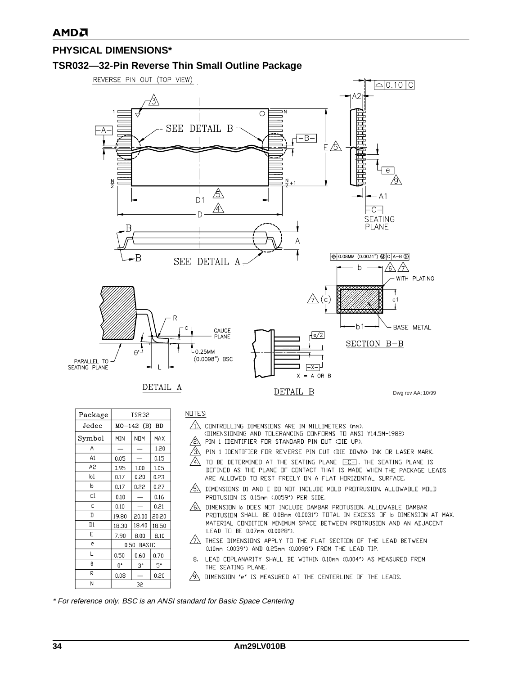# **PHYSICAL DIMENSIONS\***

### <span id="page-34-0"></span>**TSR032—32-Pin Reverse Thin Small Outline Package**



| Package | TSR32                             |             |       |
|---------|-----------------------------------|-------------|-------|
| Jedec   | $MO-142$ (B)<br><b>BD</b>         |             |       |
| Symbol  | MIN                               | NOM         | MAX   |
| А       |                                   |             | 1.20  |
| A1      | 0.05                              |             | 0.15  |
| A2      | 0.95                              | 1.00        | 1.05  |
| b1      | 0.17                              | 0.20        | 0.23  |
| b       | 0.17                              | 0.22        | 0.27  |
| C1      | 0.10                              |             | 0.16  |
| Ċ       | 0.10                              |             | 0.21  |
| D       | 19.80                             | 20.00       | 20.20 |
| D1      | 18.30                             | 18.40       | 18.50 |
| E       | 7.90                              | 8.00        | 8.10  |
| e       | 0.50 <sub>1</sub><br><b>BASIC</b> |             |       |
| L       | 0.50                              | 0.60        | 0.70  |
| θ       | 0.                                | $3^{\circ}$ | 5°    |
| R       | 0.08                              |             | 0.20  |
| N       | 32                                |             |       |

NOTES:

- $\sqrt{1}$  controlling dimensions are in millimeters (mm).
	- (DIMENSIONING AND TOLERANCING CONFORMS TO ANSI Y14.5M-1982)
- $\sqrt{2}$  PIN 1 IDENTIFIER FOR STANDARD PIN OUT (DIE UP).
- $\sqrt{3}$ PIN 1 IDENTIFIER FOR REVERSE PIN OUT (DIE DOWN): INK OR LASER MARK.
- $\sqrt{4}$ TO BE DETERMINED AT THE SEATING PLANE [-C-]. THE SEATING PLANE IS DEFINED AS THE PLANE OF CONTACT THAT IS MADE WHEN THE PACKAGE LEADS ARE ALLOWED TO REST FREELY ON A FLAT HORIZONTAL SURFACE.
- $\overline{\text{SN}}$  dimensions di and E do not include mold protrusion. Allowable mold PROTUSION IS 0.15mm (.0059") PER SIDE.
- $\Diamond$  DIMENSION 6 DOES NOT INCLUDE DAMBAR PROTUSION. ALLOWABLE DAMBAR PROTUSION SHALL BE 0.08mm (0.0031") TOTAL IN EXCESS OF b DIMENSION AT MAX. MATERIAL CONDITION. MINIMUM SPACE BETWEEN PROTRUSION AND AN ADJACENT LEAD TO BE 0.07mm (0.0028").
- $\sqrt{2}$  THESE DIMENSIONS APPLY TO THE FLAT SECTION OF THE LEAD BETWEEN 0.10mm (.0039") AND 0.25mm (0.0098") FROM THE LEAD TIP.
- LEAD COPLANARITY SHALL BE WITHIN 0.10mm (0.004") AS MEASURED FROM 8. THE SEATING PLANE.
- $\sqrt{9}$  dimension  $^{\prime}$ e $^{\prime}$  is measured at the centerline of the leads.

\* For reference only. BSC is an ANSI standard for Basic Space Centering